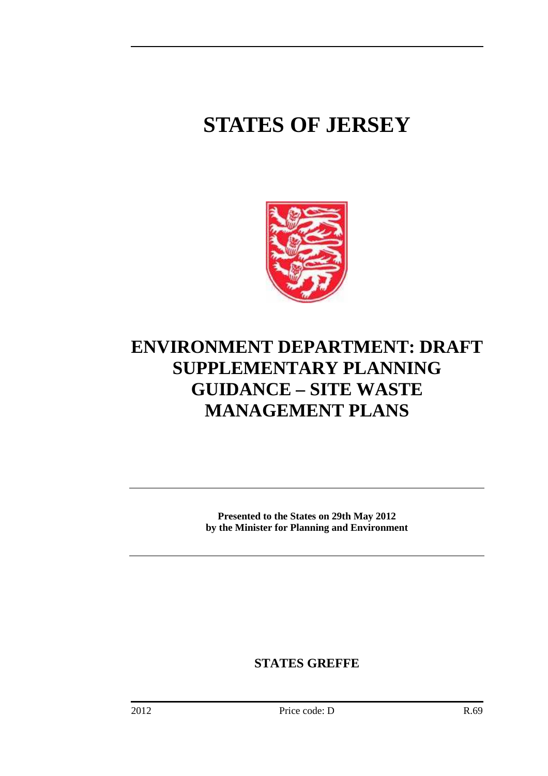# **STATES OF JERSEY**



# **ENVIRONMENT DEPARTMENT: DRAFT SUPPLEMENTARY PLANNING GUIDANCE – SITE WASTE MANAGEMENT PLANS**

**Presented to the States on 29th May 2012 by the Minister for Planning and Environment** 

**STATES GREFFE**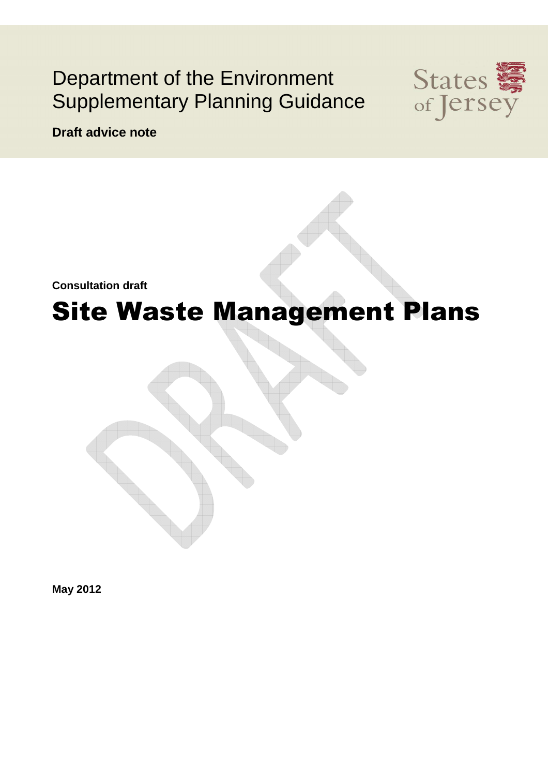# Department of the Environment Supplementary Planning Guidance



**Draft advice note** 

**Consultation draft**

# Site Waste Management Plans

**May 2012**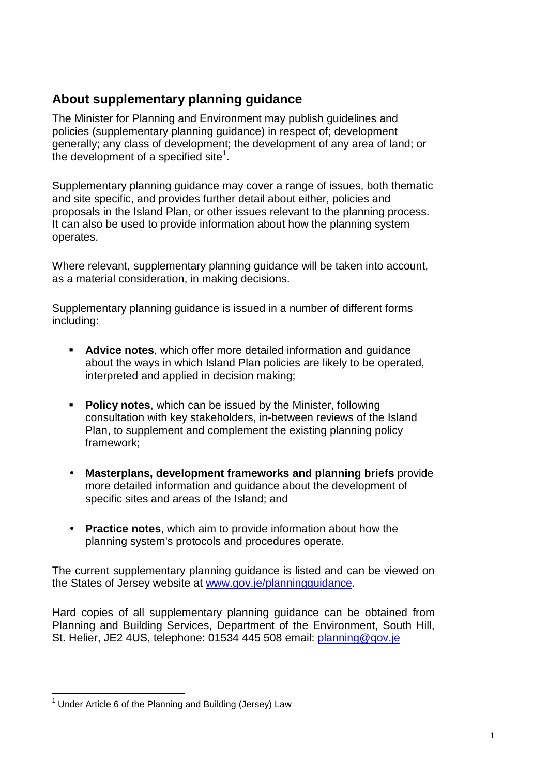### **About supplementary planning guidance**

The Minister for Planning and Environment may publish guidelines and policies (supplementary planning guidance) in respect of; development generally; any class of development; the development of any area of land; or the development of a specified site<sup>1</sup>.

Supplementary planning guidance may cover a range of issues, both thematic and site specific, and provides further detail about either, policies and proposals in the Island Plan, or other issues relevant to the planning process. It can also be used to provide information about how the planning system operates.

Where relevant, supplementary planning guidance will be taken into account, as a material consideration, in making decisions.

Supplementary planning guidance is issued in a number of different forms including:

- **Advice notes**, which offer more detailed information and guidance about the ways in which Island Plan policies are likely to be operated, interpreted and applied in decision making;
- **Policy notes**, which can be issued by the Minister, following consultation with key stakeholders, in-between reviews of the Island Plan, to supplement and complement the existing planning policy framework;
- **Masterplans, development frameworks and planning briefs** provide more detailed information and guidance about the development of specific sites and areas of the Island; and
- **Practice notes**, which aim to provide information about how the planning system's protocols and procedures operate.

The current supplementary planning guidance is listed and can be viewed on the States of Jersey website at www.gov.je/planningguidance.

Hard copies of all supplementary planning guidance can be obtained from Planning and Building Services, Department of the Environment, South Hill, St. Helier, JE2 4US, telephone: 01534 445 508 email: planning@gov.je

 $\overline{\phantom{a}}$  $1$  Under Article 6 of the Planning and Building (Jersey) Law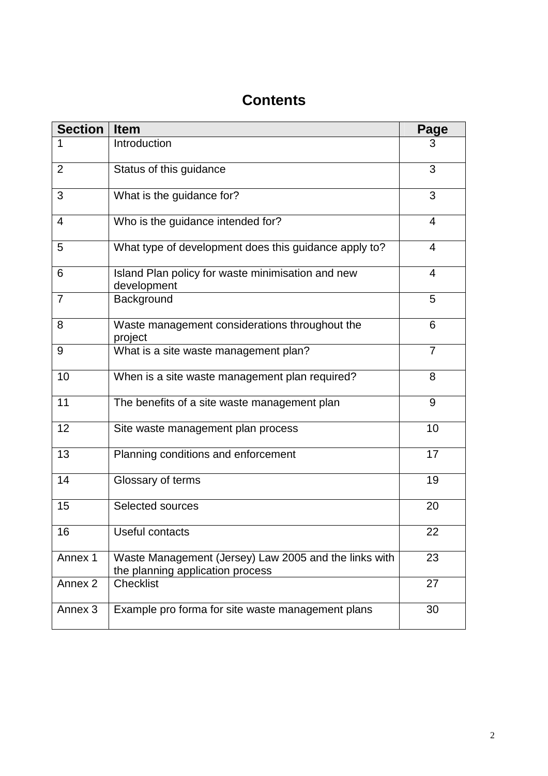| <b>Section</b> | <b>Item</b>                                                                               | Page           |
|----------------|-------------------------------------------------------------------------------------------|----------------|
| 1              | Introduction                                                                              | 3              |
| $\overline{2}$ | Status of this guidance                                                                   | 3              |
| 3              | What is the guidance for?                                                                 | 3              |
| $\overline{4}$ | Who is the guidance intended for?                                                         | 4              |
| 5              | What type of development does this guidance apply to?                                     | $\overline{4}$ |
| 6              | Island Plan policy for waste minimisation and new<br>development                          | 4              |
| $\overline{7}$ | Background                                                                                | 5              |
| 8              | Waste management considerations throughout the<br>project                                 | 6              |
| 9              | What is a site waste management plan?                                                     | $\overline{7}$ |
| 10             | When is a site waste management plan required?                                            | 8              |
| 11             | The benefits of a site waste management plan                                              | 9              |
| 12             | Site waste management plan process                                                        | 10             |
| 13             | Planning conditions and enforcement                                                       | 17             |
| 14             | Glossary of terms                                                                         | 19             |
| 15             | Selected sources                                                                          | 20             |
| 16             | Useful contacts                                                                           | 22             |
| Annex 1        | Waste Management (Jersey) Law 2005 and the links with<br>the planning application process | 23             |
| Annex 2        | <b>Checklist</b>                                                                          | 27             |
| Annex 3        | Example pro forma for site waste management plans                                         | 30             |

## **Contents**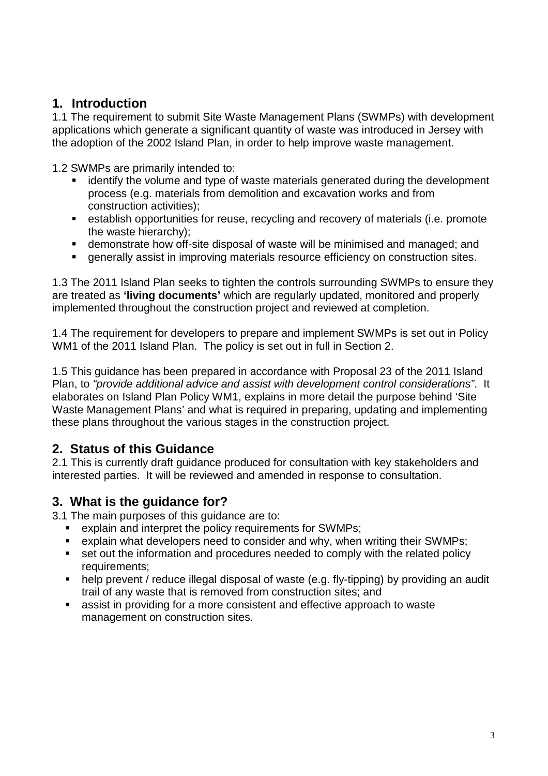### **1. Introduction**

1.1 The requirement to submit Site Waste Management Plans (SWMPs) with development applications which generate a significant quantity of waste was introduced in Jersey with the adoption of the 2002 Island Plan, in order to help improve waste management.

1.2 SWMPs are primarily intended to:

- **EXT** identify the volume and type of waste materials generated during the development process (e.g. materials from demolition and excavation works and from construction activities);
- establish opportunities for reuse, recycling and recovery of materials (i.e. promote the waste hierarchy);
- demonstrate how off-site disposal of waste will be minimised and managed; and
- generally assist in improving materials resource efficiency on construction sites.

1.3 The 2011 Island Plan seeks to tighten the controls surrounding SWMPs to ensure they are treated as **'living documents'** which are regularly updated, monitored and properly implemented throughout the construction project and reviewed at completion.

1.4 The requirement for developers to prepare and implement SWMPs is set out in Policy WM1 of the 2011 Island Plan. The policy is set out in full in Section 2.

1.5 This guidance has been prepared in accordance with Proposal 23 of the 2011 Island Plan, to "provide additional advice and assist with development control considerations". It elaborates on Island Plan Policy WM1, explains in more detail the purpose behind 'Site Waste Management Plans' and what is required in preparing, updating and implementing these plans throughout the various stages in the construction project.

### **2. Status of this Guidance**

2.1 This is currently draft guidance produced for consultation with key stakeholders and interested parties. It will be reviewed and amended in response to consultation.

### **3. What is the guidance for?**

3.1 The main purposes of this guidance are to:

- **EXPLAIN** explain and interpret the policy requirements for SWMPs;
- explain what developers need to consider and why, when writing their SWMPs;
- set out the information and procedures needed to comply with the related policy requirements;
- help prevent / reduce illegal disposal of waste (e.g. fly-tipping) by providing an audit trail of any waste that is removed from construction sites; and
- assist in providing for a more consistent and effective approach to waste management on construction sites.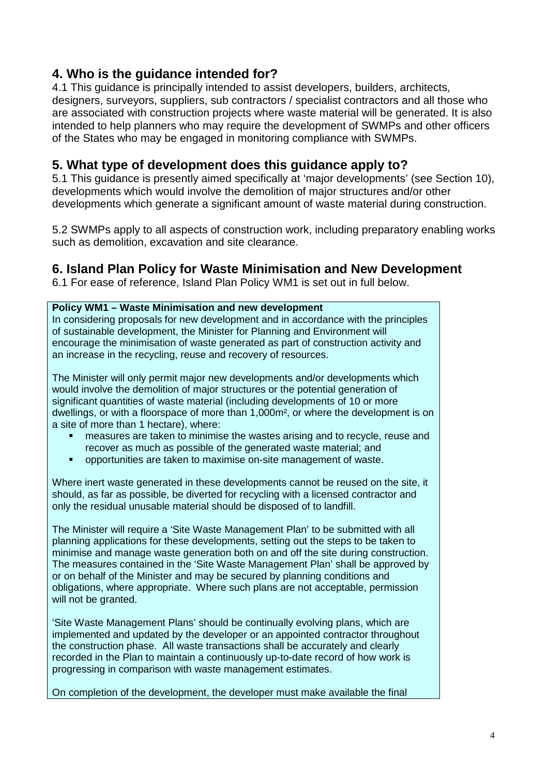### **4. Who is the guidance intended for?**

4.1 This guidance is principally intended to assist developers, builders, architects, designers, surveyors, suppliers, sub contractors / specialist contractors and all those who are associated with construction projects where waste material will be generated. It is also intended to help planners who may require the development of SWMPs and other officers of the States who may be engaged in monitoring compliance with SWMPs.

### **5. What type of development does this guidance apply to?**

5.1 This guidance is presently aimed specifically at 'major developments' (see Section 10), developments which would involve the demolition of major structures and/or other developments which generate a significant amount of waste material during construction.

5.2 SWMPs apply to all aspects of construction work, including preparatory enabling works such as demolition, excavation and site clearance.

### **6. Island Plan Policy for Waste Minimisation and New Development**

6.1 For ease of reference, Island Plan Policy WM1 is set out in full below.

#### **Policy WM1 – Waste Minimisation and new development**

In considering proposals for new development and in accordance with the principles of sustainable development, the Minister for Planning and Environment will encourage the minimisation of waste generated as part of construction activity and an increase in the recycling, reuse and recovery of resources.

The Minister will only permit major new developments and/or developments which would involve the demolition of major structures or the potential generation of significant quantities of waste material (including developments of 10 or more dwellings, or with a floorspace of more than 1,000m², or where the development is on a site of more than 1 hectare), where:

- measures are taken to minimise the wastes arising and to recycle, reuse and recover as much as possible of the generated waste material; and
- opportunities are taken to maximise on-site management of waste.

Where inert waste generated in these developments cannot be reused on the site, it should, as far as possible, be diverted for recycling with a licensed contractor and only the residual unusable material should be disposed of to landfill.

The Minister will require a 'Site Waste Management Plan' to be submitted with all planning applications for these developments, setting out the steps to be taken to minimise and manage waste generation both on and off the site during construction. The measures contained in the 'Site Waste Management Plan' shall be approved by or on behalf of the Minister and may be secured by planning conditions and obligations, where appropriate. Where such plans are not acceptable, permission will not be granted.

'Site Waste Management Plans' should be continually evolving plans, which are implemented and updated by the developer or an appointed contractor throughout the construction phase. All waste transactions shall be accurately and clearly recorded in the Plan to maintain a continuously up-to-date record of how work is progressing in comparison with waste management estimates.

On completion of the development, the developer must make available the final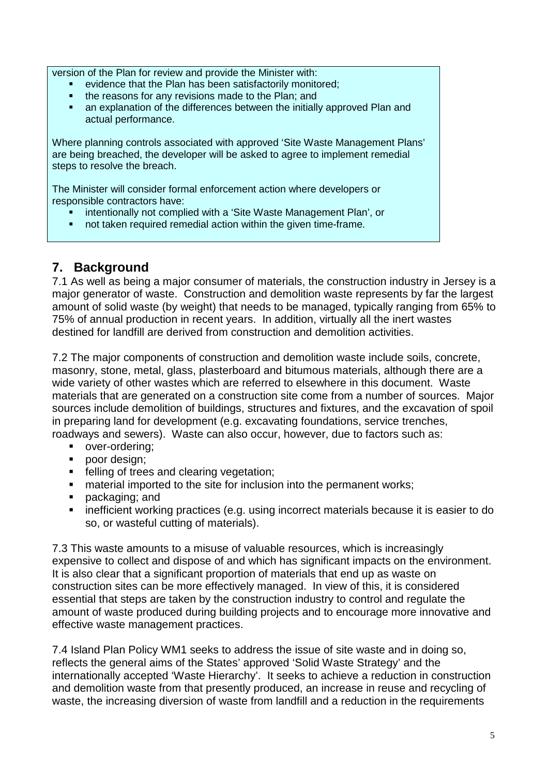version of the Plan for review and provide the Minister with:

- evidence that the Plan has been satisfactorily monitored;
- the reasons for any revisions made to the Plan; and
- an explanation of the differences between the initially approved Plan and actual performance.

Where planning controls associated with approved 'Site Waste Management Plans' are being breached, the developer will be asked to agree to implement remedial steps to resolve the breach.

The Minister will consider formal enforcement action where developers or responsible contractors have:

- intentionally not complied with a 'Site Waste Management Plan', or
- not taken required remedial action within the given time-frame.

### **7. Background**

7.1 As well as being a major consumer of materials, the construction industry in Jersey is a major generator of waste. Construction and demolition waste represents by far the largest amount of solid waste (by weight) that needs to be managed, typically ranging from 65% to 75% of annual production in recent years. In addition, virtually all the inert wastes destined for landfill are derived from construction and demolition activities.

7.2 The major components of construction and demolition waste include soils, concrete, masonry, stone, metal, glass, plasterboard and bitumous materials, although there are a wide variety of other wastes which are referred to elsewhere in this document. Waste materials that are generated on a construction site come from a number of sources. Major sources include demolition of buildings, structures and fixtures, and the excavation of spoil in preparing land for development (e.g. excavating foundations, service trenches, roadways and sewers). Waste can also occur, however, due to factors such as:

- **•** over-ordering;
- poor design;
- **Figure 1** felling of trees and clearing vegetation;
- **EXECT** material imported to the site for inclusion into the permanent works;
- **packaging; and**
- **EXT** inefficient working practices (e.g. using incorrect materials because it is easier to do so, or wasteful cutting of materials).

7.3 This waste amounts to a misuse of valuable resources, which is increasingly expensive to collect and dispose of and which has significant impacts on the environment. It is also clear that a significant proportion of materials that end up as waste on construction sites can be more effectively managed. In view of this, it is considered essential that steps are taken by the construction industry to control and regulate the amount of waste produced during building projects and to encourage more innovative and effective waste management practices.

7.4 Island Plan Policy WM1 seeks to address the issue of site waste and in doing so, reflects the general aims of the States' approved 'Solid Waste Strategy' and the internationally accepted 'Waste Hierarchy'. It seeks to achieve a reduction in construction and demolition waste from that presently produced, an increase in reuse and recycling of waste, the increasing diversion of waste from landfill and a reduction in the requirements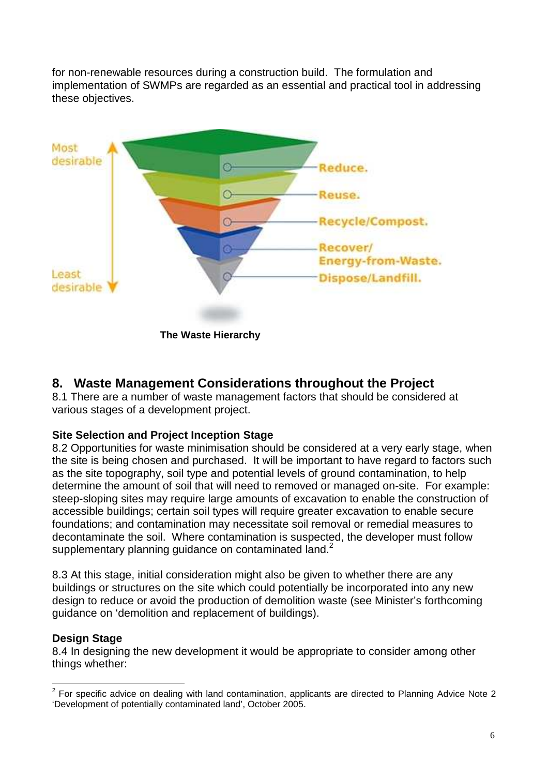for non-renewable resources during a construction build. The formulation and implementation of SWMPs are regarded as an essential and practical tool in addressing these objectives.



 **The Waste Hierarchy** 

### **8. Waste Management Considerations throughout the Project**

8.1 There are a number of waste management factors that should be considered at various stages of a development project.

#### **Site Selection and Project Inception Stage**

8.2 Opportunities for waste minimisation should be considered at a very early stage, when the site is being chosen and purchased. It will be important to have regard to factors such as the site topography, soil type and potential levels of ground contamination, to help determine the amount of soil that will need to removed or managed on-site. For example: steep-sloping sites may require large amounts of excavation to enable the construction of accessible buildings; certain soil types will require greater excavation to enable secure foundations; and contamination may necessitate soil removal or remedial measures to decontaminate the soil. Where contamination is suspected, the developer must follow supplementary planning quidance on contaminated land.<sup>2</sup>

8.3 At this stage, initial consideration might also be given to whether there are any buildings or structures on the site which could potentially be incorporated into any new design to reduce or avoid the production of demolition waste (see Minister's forthcoming guidance on 'demolition and replacement of buildings).

#### **Design Stage**

8.4 In designing the new development it would be appropriate to consider among other things whether:

<sup>&</sup>lt;u>2</u><br><sup>2</sup> For specific advice on dealing with land contamination, applicants are directed to Planning Advice Note 2 'Development of potentially contaminated land', October 2005.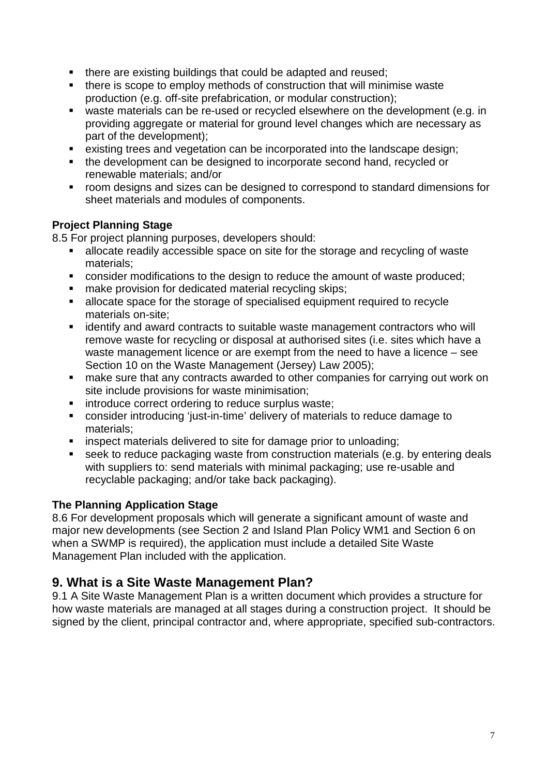- there are existing buildings that could be adapted and reused;
- there is scope to employ methods of construction that will minimise waste production (e.g. off-site prefabrication, or modular construction);
- waste materials can be re-used or recycled elsewhere on the development (e.g. in providing aggregate or material for ground level changes which are necessary as part of the development);
- existing trees and vegetation can be incorporated into the landscape design;
- the development can be designed to incorporate second hand, recycled or renewable materials; and/or
- room designs and sizes can be designed to correspond to standard dimensions for sheet materials and modules of components.

#### **Project Planning Stage**

8.5 For project planning purposes, developers should:

- allocate readily accessible space on site for the storage and recycling of waste materials;
- **EXECONS** consider modifications to the design to reduce the amount of waste produced;
- make provision for dedicated material recycling skips:
- allocate space for the storage of specialised equipment required to recycle materials on-site;
- identify and award contracts to suitable waste management contractors who will remove waste for recycling or disposal at authorised sites (i.e. sites which have a waste management licence or are exempt from the need to have a licence – see Section 10 on the Waste Management (Jersey) Law 2005);
- **EXTERN** make sure that any contracts awarded to other companies for carrying out work on site include provisions for waste minimisation;
- **EXECUTE:** introduce correct ordering to reduce surplus waste:
- consider introducing 'just-in-time' delivery of materials to reduce damage to materials;
- **EXECT** inspect materials delivered to site for damage prior to unloading;
- seek to reduce packaging waste from construction materials (e.g. by entering deals with suppliers to: send materials with minimal packaging; use re-usable and recyclable packaging; and/or take back packaging).

#### **The Planning Application Stage**

8.6 For development proposals which will generate a significant amount of waste and major new developments (see Section 2 and Island Plan Policy WM1 and Section 6 on when a SWMP is required), the application must include a detailed Site Waste Management Plan included with the application.

### **9. What is a Site Waste Management Plan?**

9.1 A Site Waste Management Plan is a written document which provides a structure for how waste materials are managed at all stages during a construction project. It should be signed by the client, principal contractor and, where appropriate, specified sub-contractors.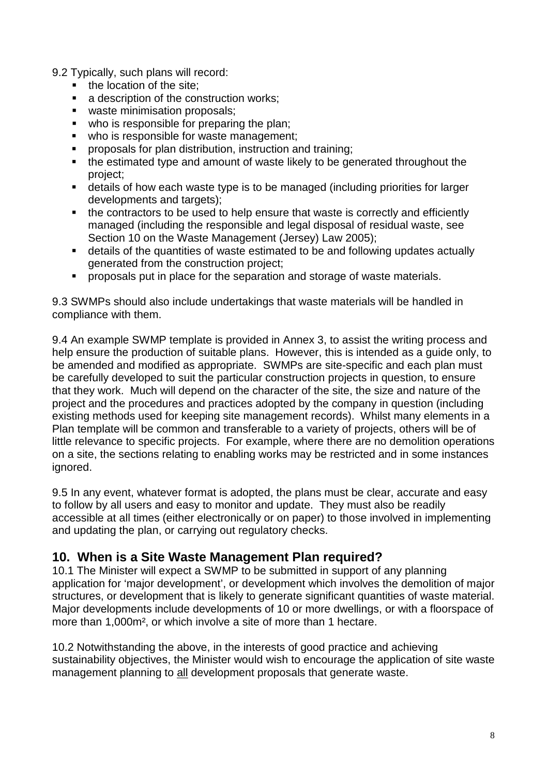9.2 Typically, such plans will record:

- the location of the site;
- a description of the construction works;
- waste minimisation proposals;
- who is responsible for preparing the plan;
- who is responsible for waste management;
- proposals for plan distribution, instruction and training;
- the estimated type and amount of waste likely to be generated throughout the project;
- details of how each waste type is to be managed (including priorities for larger developments and targets);
- the contractors to be used to help ensure that waste is correctly and efficiently managed (including the responsible and legal disposal of residual waste, see Section 10 on the Waste Management (Jersey) Law 2005);
- details of the quantities of waste estimated to be and following updates actually generated from the construction project;
- **•** proposals put in place for the separation and storage of waste materials.

9.3 SWMPs should also include undertakings that waste materials will be handled in compliance with them.

9.4 An example SWMP template is provided in Annex 3, to assist the writing process and help ensure the production of suitable plans. However, this is intended as a guide only, to be amended and modified as appropriate. SWMPs are site-specific and each plan must be carefully developed to suit the particular construction projects in question, to ensure that they work. Much will depend on the character of the site, the size and nature of the project and the procedures and practices adopted by the company in question (including existing methods used for keeping site management records). Whilst many elements in a Plan template will be common and transferable to a variety of projects, others will be of little relevance to specific projects. For example, where there are no demolition operations on a site, the sections relating to enabling works may be restricted and in some instances ignored.

9.5 In any event, whatever format is adopted, the plans must be clear, accurate and easy to follow by all users and easy to monitor and update. They must also be readily accessible at all times (either electronically or on paper) to those involved in implementing and updating the plan, or carrying out regulatory checks.

### **10. When is a Site Waste Management Plan required?**

10.1 The Minister will expect a SWMP to be submitted in support of any planning application for 'major development', or development which involves the demolition of major structures, or development that is likely to generate significant quantities of waste material. Major developments include developments of 10 or more dwellings, or with a floorspace of more than 1,000m², or which involve a site of more than 1 hectare.

10.2 Notwithstanding the above, in the interests of good practice and achieving sustainability objectives, the Minister would wish to encourage the application of site waste management planning to all development proposals that generate waste.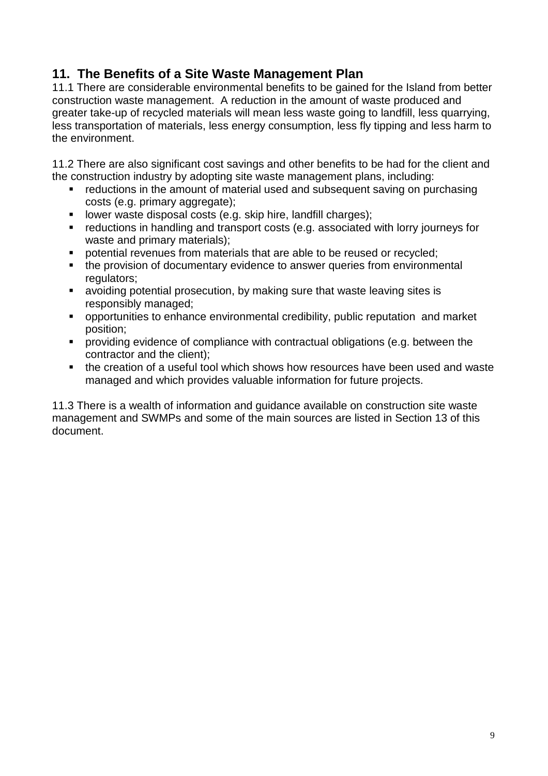### **11. The Benefits of a Site Waste Management Plan**

11.1 There are considerable environmental benefits to be gained for the Island from better construction waste management. A reduction in the amount of waste produced and greater take-up of recycled materials will mean less waste going to landfill, less quarrying, less transportation of materials, less energy consumption, less fly tipping and less harm to the environment.

11.2 There are also significant cost savings and other benefits to be had for the client and the construction industry by adopting site waste management plans, including:

- reductions in the amount of material used and subsequent saving on purchasing costs (e.g. primary aggregate);
- **I** lower waste disposal costs (e.g. skip hire, landfill charges);
- reductions in handling and transport costs (e.g. associated with lorry journeys for waste and primary materials);
- **potential revenues from materials that are able to be reused or recycled:**
- the provision of documentary evidence to answer queries from environmental regulators:
- avoiding potential prosecution, by making sure that waste leaving sites is responsibly managed;
- opportunities to enhance environmental credibility, public reputation and market position;
- providing evidence of compliance with contractual obligations (e.g. between the contractor and the client);
- the creation of a useful tool which shows how resources have been used and waste managed and which provides valuable information for future projects.

11.3 There is a wealth of information and guidance available on construction site waste management and SWMPs and some of the main sources are listed in Section 13 of this document.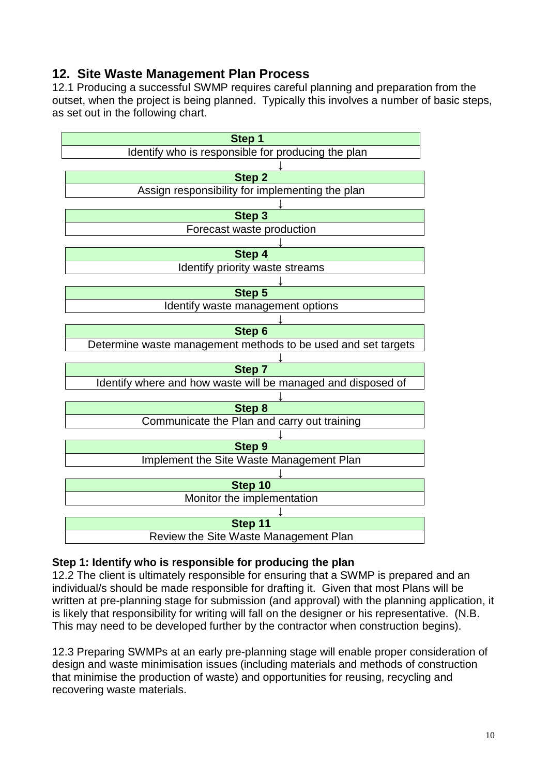### **12. Site Waste Management Plan Process**

12.1 Producing a successful SWMP requires careful planning and preparation from the outset, when the project is being planned. Typically this involves a number of basic steps, as set out in the following chart.



#### **Step 1: Identify who is responsible for producing the plan**

12.2 The client is ultimately responsible for ensuring that a SWMP is prepared and an individual/s should be made responsible for drafting it. Given that most Plans will be written at pre-planning stage for submission (and approval) with the planning application, it is likely that responsibility for writing will fall on the designer or his representative. (N.B. This may need to be developed further by the contractor when construction begins).

12.3 Preparing SWMPs at an early pre-planning stage will enable proper consideration of design and waste minimisation issues (including materials and methods of construction that minimise the production of waste) and opportunities for reusing, recycling and recovering waste materials.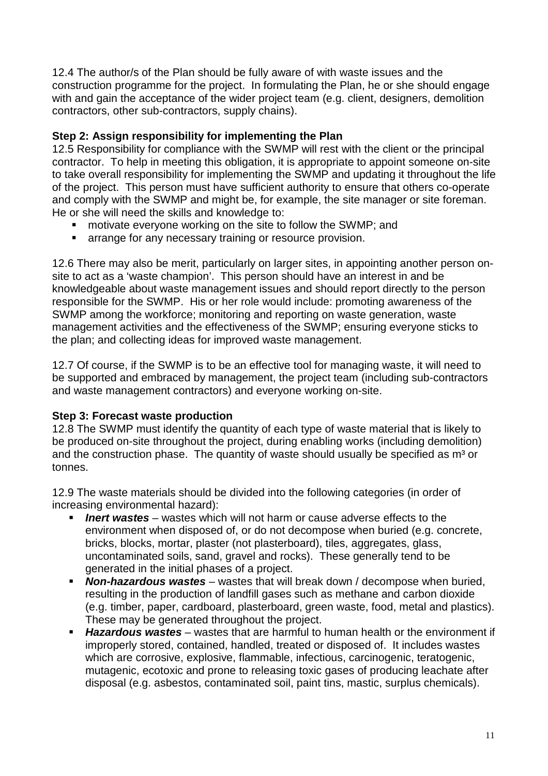12.4 The author/s of the Plan should be fully aware of with waste issues and the construction programme for the project. In formulating the Plan, he or she should engage with and gain the acceptance of the wider project team (e.g. client, designers, demolition contractors, other sub-contractors, supply chains).

#### **Step 2: Assign responsibility for implementing the Plan**

12.5 Responsibility for compliance with the SWMP will rest with the client or the principal contractor. To help in meeting this obligation, it is appropriate to appoint someone on-site to take overall responsibility for implementing the SWMP and updating it throughout the life of the project. This person must have sufficient authority to ensure that others co-operate and comply with the SWMP and might be, for example, the site manager or site foreman. He or she will need the skills and knowledge to:

- motivate everyone working on the site to follow the SWMP; and
- **EXECT** arrange for any necessary training or resource provision.

12.6 There may also be merit, particularly on larger sites, in appointing another person onsite to act as a 'waste champion'. This person should have an interest in and be knowledgeable about waste management issues and should report directly to the person responsible for the SWMP. His or her role would include: promoting awareness of the SWMP among the workforce; monitoring and reporting on waste generation, waste management activities and the effectiveness of the SWMP; ensuring everyone sticks to the plan; and collecting ideas for improved waste management.

12.7 Of course, if the SWMP is to be an effective tool for managing waste, it will need to be supported and embraced by management, the project team (including sub-contractors and waste management contractors) and everyone working on-site.

#### **Step 3: Forecast waste production**

12.8 The SWMP must identify the quantity of each type of waste material that is likely to be produced on-site throughout the project, during enabling works (including demolition) and the construction phase. The quantity of waste should usually be specified as m<sup>3</sup> or tonnes.

12.9 The waste materials should be divided into the following categories (in order of increasing environmental hazard):

- **Inert wastes** wastes which will not harm or cause adverse effects to the environment when disposed of, or do not decompose when buried (e.g. concrete, bricks, blocks, mortar, plaster (not plasterboard), tiles, aggregates, glass, uncontaminated soils, sand, gravel and rocks). These generally tend to be generated in the initial phases of a project.
- **Non-hazardous wastes** wastes that will break down / decompose when buried, resulting in the production of landfill gases such as methane and carbon dioxide (e.g. timber, paper, cardboard, plasterboard, green waste, food, metal and plastics). These may be generated throughout the project.
- **Hazardous wastes** wastes that are harmful to human health or the environment if improperly stored, contained, handled, treated or disposed of. It includes wastes which are corrosive, explosive, flammable, infectious, carcinogenic, teratogenic, mutagenic, ecotoxic and prone to releasing toxic gases of producing leachate after disposal (e.g. asbestos, contaminated soil, paint tins, mastic, surplus chemicals).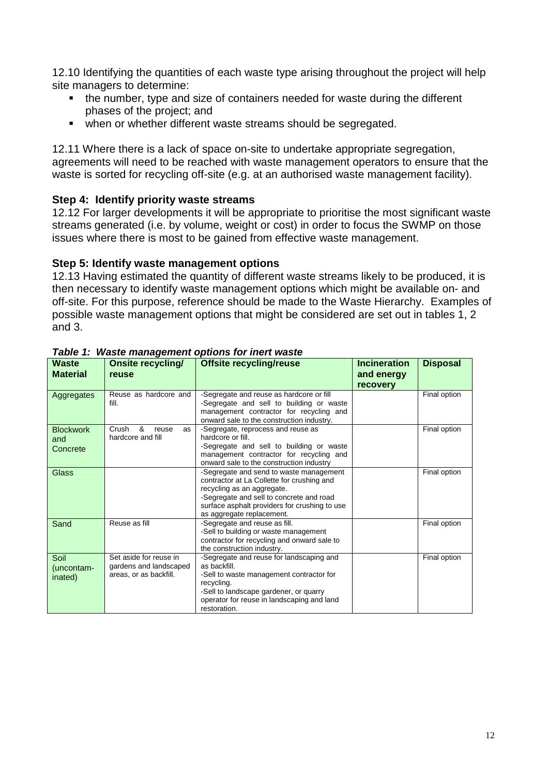12.10 Identifying the quantities of each waste type arising throughout the project will help site managers to determine:

- the number, type and size of containers needed for waste during the different phases of the project; and
- when or whether different waste streams should be segregated.

12.11 Where there is a lack of space on-site to undertake appropriate segregation, agreements will need to be reached with waste management operators to ensure that the waste is sorted for recycling off-site (e.g. at an authorised waste management facility).

#### **Step 4: Identify priority waste streams**

12.12 For larger developments it will be appropriate to prioritise the most significant waste streams generated (i.e. by volume, weight or cost) in order to focus the SWMP on those issues where there is most to be gained from effective waste management.

#### **Step 5: Identify waste management options**

12.13 Having estimated the quantity of different waste streams likely to be produced, it is then necessary to identify waste management options which might be available on- and off-site. For this purpose, reference should be made to the Waste Hierarchy. Examples of possible waste management options that might be considered are set out in tables 1, 2 and 3.

| <b>Waste</b><br><b>Material</b>     | <b>Onsite recycling/</b><br>reuse                                          | <b>Offsite recycling/reuse</b>                                                                                                                                                                                                                | <b>Incineration</b><br>and energy<br><b>recovery</b> | <b>Disposal</b> |
|-------------------------------------|----------------------------------------------------------------------------|-----------------------------------------------------------------------------------------------------------------------------------------------------------------------------------------------------------------------------------------------|------------------------------------------------------|-----------------|
| Aggregates                          | Reuse as hardcore and<br>fill.                                             | -Segregate and reuse as hardcore or fill<br>-Segregate and sell to building or waste<br>management contractor for recycling and<br>onward sale to the construction industry.                                                                  |                                                      | Final option    |
| <b>Blockwork</b><br>and<br>Concrete | &<br>Crush<br>reuse<br>as<br>hardcore and fill                             | -Segregate, reprocess and reuse as<br>hardcore or fill.<br>-Segregate and sell to building or waste<br>management contractor for recycling and<br>onward sale to the construction industry                                                    |                                                      | Final option    |
| Glass                               |                                                                            | -Segregate and send to waste management<br>contractor at La Collette for crushing and<br>recycling as an aggregate.<br>-Segregate and sell to concrete and road<br>surface asphalt providers for crushing to use<br>as aggregate replacement. |                                                      | Final option    |
| Sand                                | Reuse as fill                                                              | -Segregate and reuse as fill.<br>-Sell to building or waste management<br>contractor for recycling and onward sale to<br>the construction industry.                                                                                           |                                                      | Final option    |
| Soil<br>(uncontam-<br>inated)       | Set aside for reuse in<br>gardens and landscaped<br>areas, or as backfill. | -Segregate and reuse for landscaping and<br>as backfill.<br>-Sell to waste management contractor for<br>recycling.<br>-Sell to landscape gardener, or quarry<br>operator for reuse in landscaping and land<br>restoration.                    |                                                      | Final option    |

#### **Table 1: Waste management options for inert waste**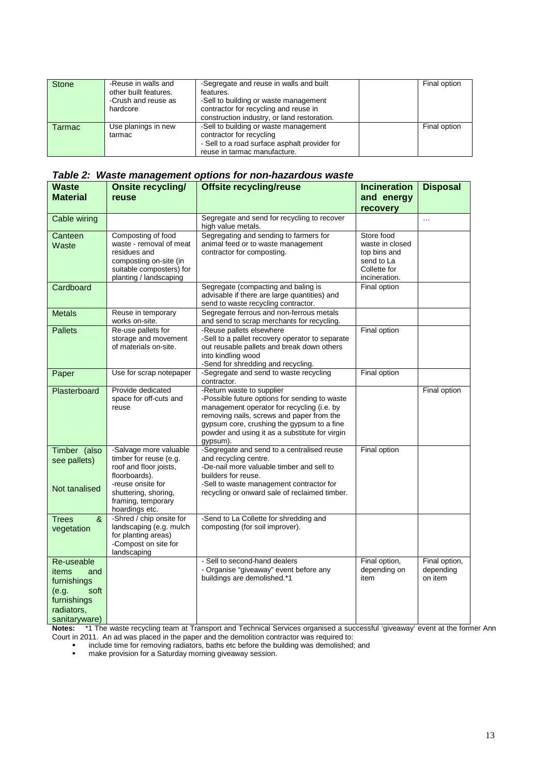| <b>Stone</b> | -Reuse in walls and<br>other built features.<br>-Crush and reuse as<br>hardcore | -Segregate and reuse in walls and built<br>features.<br>-Sell to building or waste management<br>contractor for recycling and reuse in<br>construction industry, or land restoration. | Final option |
|--------------|---------------------------------------------------------------------------------|---------------------------------------------------------------------------------------------------------------------------------------------------------------------------------------|--------------|
| Tarmac       | Use planings in new<br>tarmac                                                   | -Sell to building or waste management<br>contractor for recycling<br>- Sell to a road surface asphalt provider for<br>reuse in tarmac manufacture.                                    | Final option |

| Table 2: Waste management options for non-hazardous waste |
|-----------------------------------------------------------|
|-----------------------------------------------------------|

| <b>Waste</b>                 | <b>Onsite recycling/</b>                           | <b>Offsite recycling/reuse</b>                                                              | <b>Incineration</b>           | <b>Disposal</b>      |
|------------------------------|----------------------------------------------------|---------------------------------------------------------------------------------------------|-------------------------------|----------------------|
| Material                     | reuse                                              |                                                                                             | and energy                    |                      |
|                              |                                                    |                                                                                             | recovery                      |                      |
| Cable wiring                 |                                                    | Segregate and send for recycling to recover<br>high value metals.                           |                               | $\cdots$             |
| Canteen                      | Composting of food<br>waste - removal of meat      | Segregating and sending to farmers for<br>animal feed or to waste management                | Store food<br>waste in closed |                      |
| Waste                        | residues and                                       | contractor for composting.                                                                  | top bins and                  |                      |
|                              | composting on-site (in                             |                                                                                             | send to La                    |                      |
|                              | suitable composters) for<br>planting / landscaping |                                                                                             | Collette for<br>incineration. |                      |
| Cardboard                    |                                                    | Segregate (compacting and baling is                                                         | Final option                  |                      |
|                              |                                                    | advisable if there are large quantities) and                                                |                               |                      |
|                              |                                                    | send to waste recycling contractor.                                                         |                               |                      |
| <b>Metals</b>                | Reuse in temporary<br>works on-site.               | Segregate ferrous and non-ferrous metals<br>and send to scrap merchants for recycling.      |                               |                      |
| <b>Pallets</b>               | Re-use pallets for                                 | -Reuse pallets elsewhere                                                                    | Final option                  |                      |
|                              | storage and movement                               | -Sell to a pallet recovery operator to separate                                             |                               |                      |
|                              | of materials on-site.                              | out reusable pallets and break down others<br>into kindling wood                            |                               |                      |
|                              |                                                    | -Send for shredding and recycling.                                                          |                               |                      |
| Paper                        | Use for scrap notepaper                            | -Segregate and send to waste recycling<br>contractor.                                       | Final option                  |                      |
| Plasterboard                 | Provide dedicated                                  | -Return waste to supplier                                                                   |                               | Final option         |
|                              | space for off-cuts and<br>reuse                    | -Possible future options for sending to waste<br>management operator for recycling (i.e. by |                               |                      |
|                              |                                                    | removing nails, screws and paper from the                                                   |                               |                      |
|                              |                                                    | gypsum core, crushing the gypsum to a fine                                                  |                               |                      |
|                              |                                                    | powder and using it as a substitute for virgin<br>gypsum).                                  |                               |                      |
| Timber (also                 | -Salvage more valuable                             | -Segregate and send to a centralised reuse                                                  | Final option                  |                      |
| see pallets)                 | timber for reuse (e.g.                             | and recycling centre.                                                                       |                               |                      |
|                              | roof and floor joists,<br>floorboards).            | -De-nail more valuable timber and sell to<br>builders for reuse.                            |                               |                      |
|                              | -reuse onsite for                                  | -Sell to waste management contractor for                                                    |                               |                      |
| Not tanalised                | shuttering, shoring,                               | recycling or onward sale of reclaimed timber.                                               |                               |                      |
|                              | framing, temporary<br>hoardings etc.               |                                                                                             |                               |                      |
| &<br><b>Trees</b>            | -Shred / chip onsite for                           | -Send to La Collette for shredding and                                                      |                               |                      |
| vegetation                   | landscaping (e.g. mulch                            | composting (for soil improver).                                                             |                               |                      |
|                              | for planting areas)<br>-Compost on site for        |                                                                                             |                               |                      |
|                              | landscaping                                        |                                                                                             |                               |                      |
| Re-useable                   |                                                    | - Sell to second-hand dealers                                                               | Final option,                 | Final option,        |
| items<br>and                 |                                                    | - Organise "giveaway" event before any<br>buildings are demolished.*1                       | depending on<br>item          | depending<br>on item |
| furnishings                  |                                                    |                                                                                             |                               |                      |
| soft<br>(e.g.<br>furnishings |                                                    |                                                                                             |                               |                      |
| radiators,                   |                                                    |                                                                                             |                               |                      |
| sanitaryware)                |                                                    |                                                                                             |                               |                      |

**Notes:** \*1 The waste recycling team at Transport and Technical Services organised a successful 'giveaway' event at the former Ann Court in 2011. An ad was placed in the paper and the demolition contractor was required to:<br>include time for removing radiators, baths etc before the building was demolished; and

**Fall make provision for a Saturday morning giveaway session.**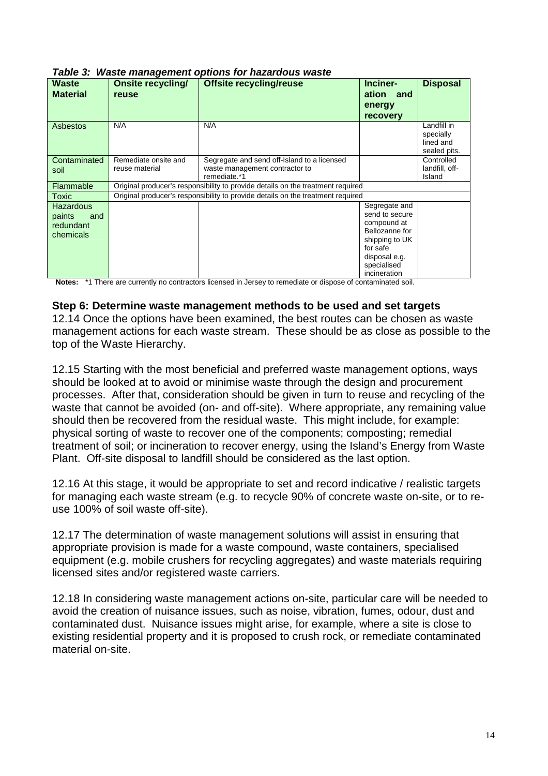| <b>Waste</b><br><b>Material</b> | <b>Onsite recycling/</b><br>reuse | <b>Offsite recycling/reuse</b>                                                  | Inciner-<br>ation and<br>energy<br><b>recovery</b> | <b>Disposal</b>                                       |
|---------------------------------|-----------------------------------|---------------------------------------------------------------------------------|----------------------------------------------------|-------------------------------------------------------|
| Asbestos                        | N/A                               | N/A                                                                             |                                                    | Landfill in<br>specially<br>lined and<br>sealed pits. |
| Contaminated                    | Remediate onsite and              | Segregate and send off-Island to a licensed                                     |                                                    | Controlled                                            |
| soil                            | reuse material                    | waste management contractor to                                                  |                                                    | landfill, off-                                        |
|                                 |                                   | remediate.*1                                                                    |                                                    | Island                                                |
| Flammable                       |                                   | Original producer's responsibility to provide details on the treatment required |                                                    |                                                       |
| Toxic                           |                                   | Original producer's responsibility to provide details on the treatment required |                                                    |                                                       |
| <b>Hazardous</b>                |                                   |                                                                                 | Segregate and                                      |                                                       |
| paints<br>and                   |                                   |                                                                                 | send to secure                                     |                                                       |
| redundant                       |                                   |                                                                                 | compound at                                        |                                                       |
| chemicals                       |                                   |                                                                                 | Bellozanne for                                     |                                                       |
|                                 |                                   |                                                                                 | shipping to UK                                     |                                                       |
|                                 |                                   |                                                                                 | for safe                                           |                                                       |
|                                 |                                   |                                                                                 | disposal e.g.                                      |                                                       |
|                                 |                                   |                                                                                 | specialised                                        |                                                       |
|                                 |                                   |                                                                                 | incineration                                       |                                                       |

**Table 3: Waste management options for hazardous waste**

**Notes:** \*1 There are currently no contractors licensed in Jersey to remediate or dispose of contaminated soil.

#### **Step 6: Determine waste management methods to be used and set targets**

12.14 Once the options have been examined, the best routes can be chosen as waste management actions for each waste stream. These should be as close as possible to the top of the Waste Hierarchy.

12.15 Starting with the most beneficial and preferred waste management options, ways should be looked at to avoid or minimise waste through the design and procurement processes. After that, consideration should be given in turn to reuse and recycling of the waste that cannot be avoided (on- and off-site). Where appropriate, any remaining value should then be recovered from the residual waste. This might include, for example: physical sorting of waste to recover one of the components; composting; remedial treatment of soil; or incineration to recover energy, using the Island's Energy from Waste Plant. Off-site disposal to landfill should be considered as the last option.

12.16 At this stage, it would be appropriate to set and record indicative / realistic targets for managing each waste stream (e.g. to recycle 90% of concrete waste on-site, or to reuse 100% of soil waste off-site).

12.17 The determination of waste management solutions will assist in ensuring that appropriate provision is made for a waste compound, waste containers, specialised equipment (e.g. mobile crushers for recycling aggregates) and waste materials requiring licensed sites and/or registered waste carriers.

12.18 In considering waste management actions on-site, particular care will be needed to avoid the creation of nuisance issues, such as noise, vibration, fumes, odour, dust and contaminated dust. Nuisance issues might arise, for example, where a site is close to existing residential property and it is proposed to crush rock, or remediate contaminated material on-site.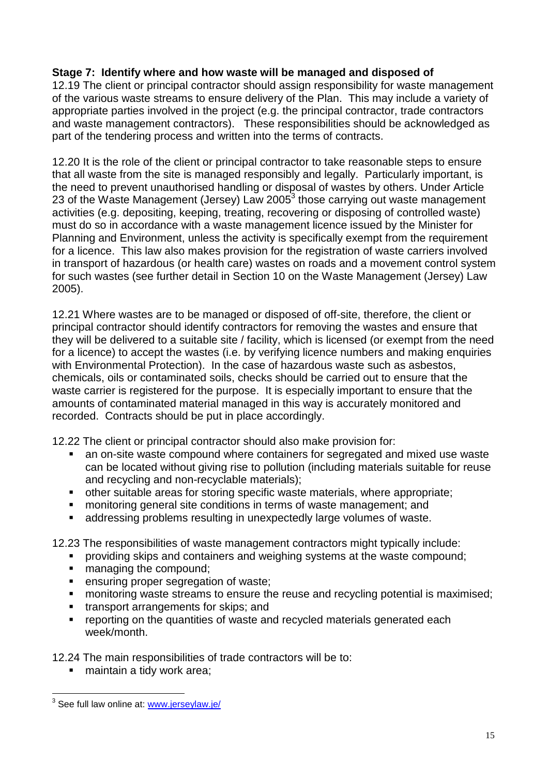#### **Stage 7: Identify where and how waste will be managed and disposed of**

12.19 The client or principal contractor should assign responsibility for waste management of the various waste streams to ensure delivery of the Plan. This may include a variety of appropriate parties involved in the project (e.g. the principal contractor, trade contractors and waste management contractors). These responsibilities should be acknowledged as part of the tendering process and written into the terms of contracts.

12.20 It is the role of the client or principal contractor to take reasonable steps to ensure that all waste from the site is managed responsibly and legally. Particularly important, is the need to prevent unauthorised handling or disposal of wastes by others. Under Article 23 of the Waste Management (Jersey) Law 2005 $3$  those carrying out waste management activities (e.g. depositing, keeping, treating, recovering or disposing of controlled waste) must do so in accordance with a waste management licence issued by the Minister for Planning and Environment, unless the activity is specifically exempt from the requirement for a licence. This law also makes provision for the registration of waste carriers involved in transport of hazardous (or health care) wastes on roads and a movement control system for such wastes (see further detail in Section 10 on the Waste Management (Jersey) Law 2005).

12.21 Where wastes are to be managed or disposed of off-site, therefore, the client or principal contractor should identify contractors for removing the wastes and ensure that they will be delivered to a suitable site / facility, which is licensed (or exempt from the need for a licence) to accept the wastes (i.e. by verifying licence numbers and making enquiries with Environmental Protection). In the case of hazardous waste such as asbestos, chemicals, oils or contaminated soils, checks should be carried out to ensure that the waste carrier is registered for the purpose. It is especially important to ensure that the amounts of contaminated material managed in this way is accurately monitored and recorded. Contracts should be put in place accordingly.

12.22 The client or principal contractor should also make provision for:

- an on-site waste compound where containers for segregated and mixed use waste can be located without giving rise to pollution (including materials suitable for reuse and recycling and non-recyclable materials);
- other suitable areas for storing specific waste materials, where appropriate;
- **EXEDENT** monitoring general site conditions in terms of waste management; and
- addressing problems resulting in unexpectedly large volumes of waste.

12.23 The responsibilities of waste management contractors might typically include:

- **•** providing skips and containers and weighing systems at the waste compound;
- managing the compound;
- **EXECUTE:** ensuring proper segregation of waste;
- **number 1** monitoring waste streams to ensure the reuse and recycling potential is maximised:
- **transport arrangements for skips; and**
- **•** reporting on the quantities of waste and recycled materials generated each week/month.

12.24 The main responsibilities of trade contractors will be to:

■ maintain a tidy work area;

<sup>&</sup>lt;u>.</u><br><sup>3</sup> See full law online at: <u>www.jerseylaw.je/</u>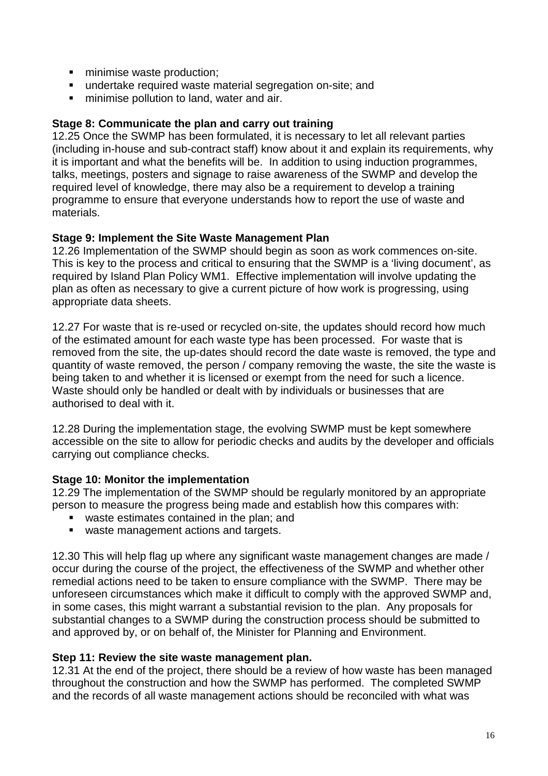- **numise waste production;**
- undertake required waste material segregation on-site; and
- **minimise pollution to land, water and air.**

#### **Stage 8: Communicate the plan and carry out training**

12.25 Once the SWMP has been formulated, it is necessary to let all relevant parties (including in-house and sub-contract staff) know about it and explain its requirements, why it is important and what the benefits will be. In addition to using induction programmes, talks, meetings, posters and signage to raise awareness of the SWMP and develop the required level of knowledge, there may also be a requirement to develop a training programme to ensure that everyone understands how to report the use of waste and materials.

#### **Stage 9: Implement the Site Waste Management Plan**

12.26 Implementation of the SWMP should begin as soon as work commences on-site. This is key to the process and critical to ensuring that the SWMP is a 'living document', as required by Island Plan Policy WM1. Effective implementation will involve updating the plan as often as necessary to give a current picture of how work is progressing, using appropriate data sheets.

12.27 For waste that is re-used or recycled on-site, the updates should record how much of the estimated amount for each waste type has been processed. For waste that is removed from the site, the up-dates should record the date waste is removed, the type and quantity of waste removed, the person / company removing the waste, the site the waste is being taken to and whether it is licensed or exempt from the need for such a licence. Waste should only be handled or dealt with by individuals or businesses that are authorised to deal with it.

12.28 During the implementation stage, the evolving SWMP must be kept somewhere accessible on the site to allow for periodic checks and audits by the developer and officials carrying out compliance checks.

#### **Stage 10: Monitor the implementation**

12.29 The implementation of the SWMP should be regularly monitored by an appropriate person to measure the progress being made and establish how this compares with:

- waste estimates contained in the plan; and
- waste management actions and targets.

12.30 This will help flag up where any significant waste management changes are made / occur during the course of the project, the effectiveness of the SWMP and whether other remedial actions need to be taken to ensure compliance with the SWMP. There may be unforeseen circumstances which make it difficult to comply with the approved SWMP and, in some cases, this might warrant a substantial revision to the plan. Any proposals for substantial changes to a SWMP during the construction process should be submitted to and approved by, or on behalf of, the Minister for Planning and Environment.

#### **Step 11: Review the site waste management plan.**

12.31 At the end of the project, there should be a review of how waste has been managed throughout the construction and how the SWMP has performed. The completed SWMP and the records of all waste management actions should be reconciled with what was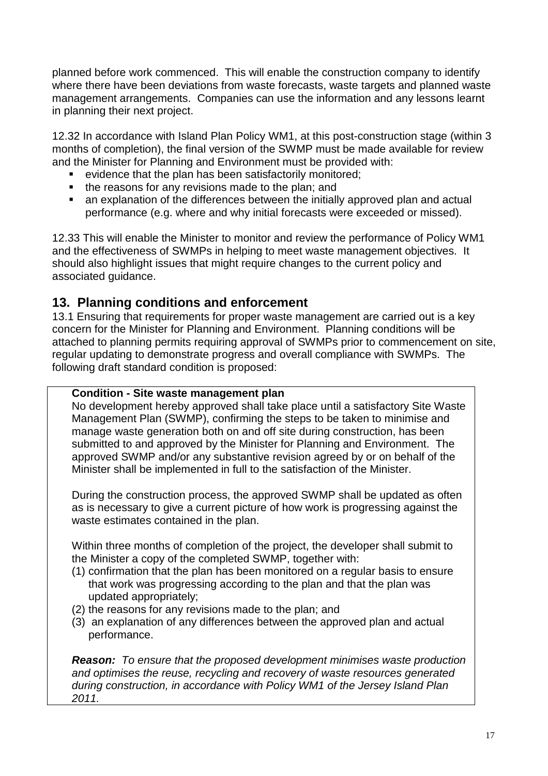planned before work commenced. This will enable the construction company to identify where there have been deviations from waste forecasts, waste targets and planned waste management arrangements. Companies can use the information and any lessons learnt in planning their next project.

12.32 In accordance with Island Plan Policy WM1, at this post-construction stage (within 3 months of completion), the final version of the SWMP must be made available for review and the Minister for Planning and Environment must be provided with:

- evidence that the plan has been satisfactorily monitored;
- the reasons for any revisions made to the plan: and
- an explanation of the differences between the initially approved plan and actual performance (e.g. where and why initial forecasts were exceeded or missed).

12.33 This will enable the Minister to monitor and review the performance of Policy WM1 and the effectiveness of SWMPs in helping to meet waste management objectives. It should also highlight issues that might require changes to the current policy and associated guidance.

### **13. Planning conditions and enforcement**

13.1 Ensuring that requirements for proper waste management are carried out is a key concern for the Minister for Planning and Environment. Planning conditions will be attached to planning permits requiring approval of SWMPs prior to commencement on site, regular updating to demonstrate progress and overall compliance with SWMPs. The following draft standard condition is proposed:

#### **Condition - Site waste management plan**

No development hereby approved shall take place until a satisfactory Site Waste Management Plan (SWMP), confirming the steps to be taken to minimise and manage waste generation both on and off site during construction, has been submitted to and approved by the Minister for Planning and Environment. The approved SWMP and/or any substantive revision agreed by or on behalf of the Minister shall be implemented in full to the satisfaction of the Minister.

During the construction process, the approved SWMP shall be updated as often as is necessary to give a current picture of how work is progressing against the waste estimates contained in the plan.

Within three months of completion of the project, the developer shall submit to the Minister a copy of the completed SWMP, together with:

- (1) confirmation that the plan has been monitored on a regular basis to ensure that work was progressing according to the plan and that the plan was updated appropriately;
- (2) the reasons for any revisions made to the plan; and
- (3) an explanation of any differences between the approved plan and actual performance.

**Reason:** To ensure that the proposed development minimises waste production and optimises the reuse, recycling and recovery of waste resources generated during construction, in accordance with Policy WM1 of the Jersey Island Plan 2011.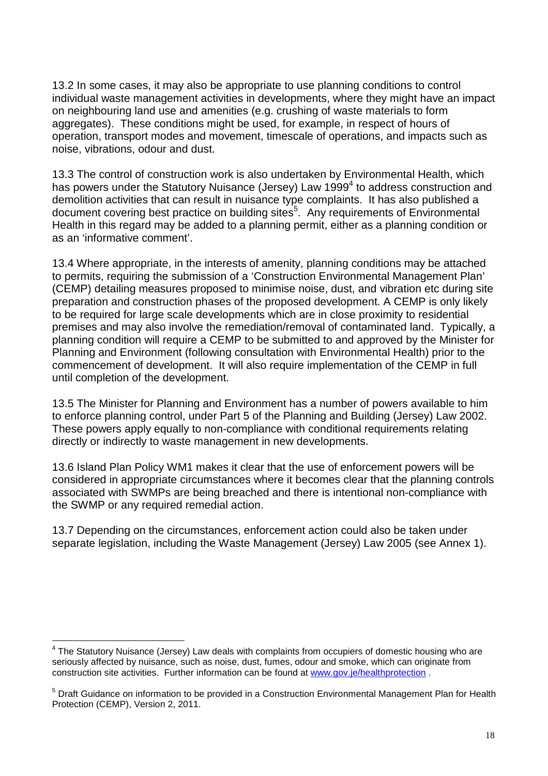13.2 In some cases, it may also be appropriate to use planning conditions to control individual waste management activities in developments, where they might have an impact on neighbouring land use and amenities (e.g. crushing of waste materials to form aggregates). These conditions might be used, for example, in respect of hours of operation, transport modes and movement, timescale of operations, and impacts such as noise, vibrations, odour and dust.

13.3 The control of construction work is also undertaken by Environmental Health, which has powers under the Statutory Nuisance (Jersey) Law 1999<sup>4</sup> to address construction and demolition activities that can result in nuisance type complaints. It has also published a document covering best practice on building sites<sup>5</sup>. Any requirements of Environmental Health in this regard may be added to a planning permit, either as a planning condition or as an 'informative comment'.

13.4 Where appropriate, in the interests of amenity, planning conditions may be attached to permits, requiring the submission of a 'Construction Environmental Management Plan' (CEMP) detailing measures proposed to minimise noise, dust, and vibration etc during site preparation and construction phases of the proposed development. A CEMP is only likely to be required for large scale developments which are in close proximity to residential premises and may also involve the remediation/removal of contaminated land. Typically, a planning condition will require a CEMP to be submitted to and approved by the Minister for Planning and Environment (following consultation with Environmental Health) prior to the commencement of development. It will also require implementation of the CEMP in full until completion of the development.

13.5 The Minister for Planning and Environment has a number of powers available to him to enforce planning control, under Part 5 of the Planning and Building (Jersey) Law 2002. These powers apply equally to non-compliance with conditional requirements relating directly or indirectly to waste management in new developments.

13.6 Island Plan Policy WM1 makes it clear that the use of enforcement powers will be considered in appropriate circumstances where it becomes clear that the planning controls associated with SWMPs are being breached and there is intentional non-compliance with the SWMP or any required remedial action.

13.7 Depending on the circumstances, enforcement action could also be taken under separate legislation, including the Waste Management (Jersey) Law 2005 (see Annex 1).

 $\overline{a}$ <sup>4</sup> The Statutory Nuisance (Jersey) Law deals with complaints from occupiers of domestic housing who are seriously affected by nuisance, such as noise, dust, fumes, odour and smoke, which can originate from construction site activities. Further information can be found at www.gov.je/healthprotection .

<sup>&</sup>lt;sup>5</sup> Draft Guidance on information to be provided in a Construction Environmental Management Plan for Health Protection (CEMP), Version 2, 2011.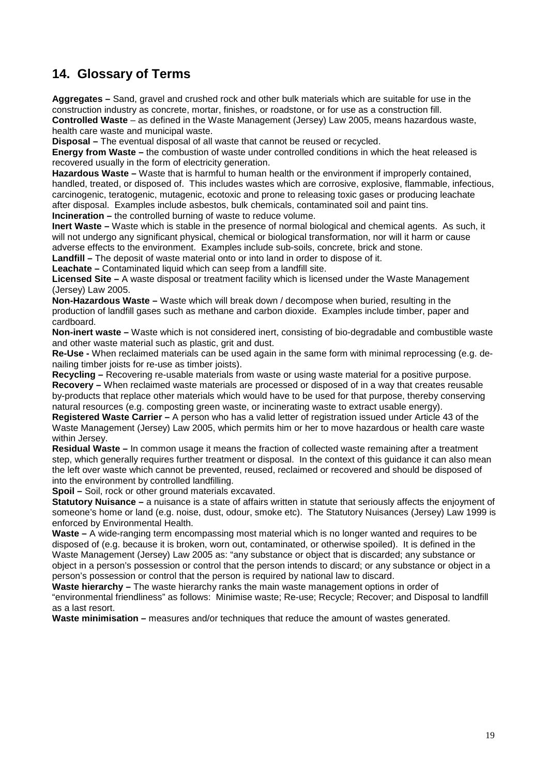### **14. Glossary of Terms**

**Aggregates –** Sand, gravel and crushed rock and other bulk materials which are suitable for use in the construction industry as concrete, mortar, finishes, or roadstone, or for use as a construction fill. **Controlled Waste** – as defined in the Waste Management (Jersey) Law 2005, means hazardous waste, health care waste and municipal waste.

**Disposal –** The eventual disposal of all waste that cannot be reused or recycled.

**Energy from Waste –** the combustion of waste under controlled conditions in which the heat released is recovered usually in the form of electricity generation.

**Hazardous Waste –** Waste that is harmful to human health or the environment if improperly contained, handled, treated, or disposed of. This includes wastes which are corrosive, explosive, flammable, infectious, carcinogenic, teratogenic, mutagenic, ecotoxic and prone to releasing toxic gases or producing leachate after disposal. Examples include asbestos, bulk chemicals, contaminated soil and paint tins. **Incineration –** the controlled burning of waste to reduce volume.

**Inert Waste –** Waste which is stable in the presence of normal biological and chemical agents. As such, it will not undergo any significant physical, chemical or biological transformation, nor will it harm or cause adverse effects to the environment. Examples include sub-soils, concrete, brick and stone.

**Landfill –** The deposit of waste material onto or into land in order to dispose of it.

**Leachate –** Contaminated liquid which can seep from a landfill site.

**Licensed Site –** A waste disposal or treatment facility which is licensed under the Waste Management (Jersey) Law 2005.

**Non-Hazardous Waste –** Waste which will break down / decompose when buried, resulting in the production of landfill gases such as methane and carbon dioxide. Examples include timber, paper and cardboard.

**Non-inert waste –** Waste which is not considered inert, consisting of bio-degradable and combustible waste and other waste material such as plastic, grit and dust.

**Re-Use -** When reclaimed materials can be used again in the same form with minimal reprocessing (e.g. denailing timber joists for re-use as timber joists).

**Recycling –** Recovering re-usable materials from waste or using waste material for a positive purpose. **Recovery –** When reclaimed waste materials are processed or disposed of in a way that creates reusable by-products that replace other materials which would have to be used for that purpose, thereby conserving natural resources (e.g. composting green waste, or incinerating waste to extract usable energy).

**Registered Waste Carrier –** A person who has a valid letter of registration issued under Article 43 of the Waste Management (Jersey) Law 2005, which permits him or her to move hazardous or health care waste within Jersey.

**Residual Waste –** In common usage it means the fraction of collected waste remaining after a treatment step, which generally requires further treatment or disposal. In the context of this guidance it can also mean the left over waste which cannot be prevented, reused, reclaimed or recovered and should be disposed of into the environment by controlled landfilling.

**Spoil –** Soil, rock or other ground materials excavated.

**Statutory Nuisance –** a nuisance is a state of affairs written in statute that seriously affects the enjoyment of someone's home or land (e.g. noise, dust, odour, smoke etc). The Statutory Nuisances (Jersey) Law 1999 is enforced by Environmental Health.

**Waste –** A wide-ranging term encompassing most material which is no longer wanted and requires to be disposed of (e.g. because it is broken, worn out, contaminated, or otherwise spoiled). It is defined in the Waste Management (Jersey) Law 2005 as: "any substance or object that is discarded; any substance or object in a person's possession or control that the person intends to discard; or any substance or object in a person's possession or control that the person is required by national law to discard.

**Waste hierarchy –** The waste hierarchy ranks the main waste management options in order of "environmental friendliness" as follows: Minimise waste; Re-use; Recycle; Recover; and Disposal to landfill as a last resort.

**Waste minimisation –** measures and/or techniques that reduce the amount of wastes generated.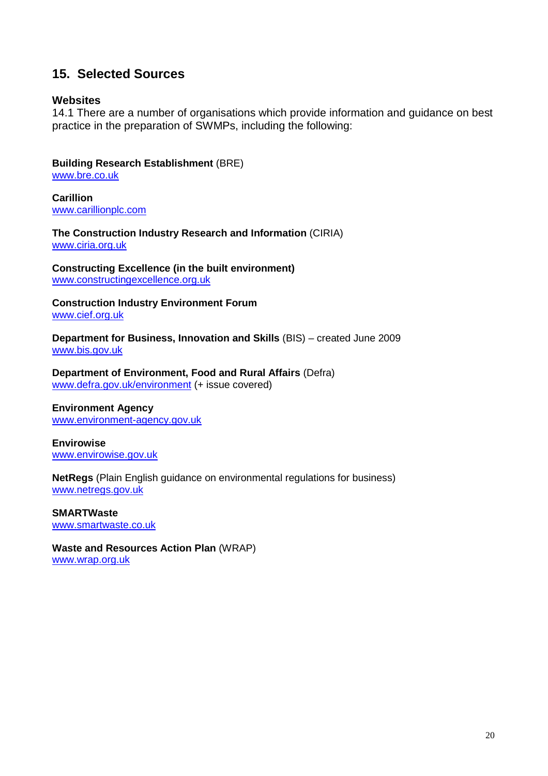### **15. Selected Sources**

#### **Websites**

14.1 There are a number of organisations which provide information and guidance on best practice in the preparation of SWMPs, including the following:

**Building Research Establishment** (BRE)

www.bre.co.uk

**Carillion**  www.carillionplc.com

**The Construction Industry Research and Information** (CIRIA) www.ciria.org.uk

**Constructing Excellence (in the built environment)**  www.constructingexcellence.org.uk

**Construction Industry Environment Forum**  www.cief.org.uk

**Department for Business, Innovation and Skills** (BIS) – created June 2009 www.bis.gov.uk

**Department of Environment, Food and Rural Affairs** (Defra) www.defra.gov.uk/environment (+ issue covered)

#### **Environment Agency**  www.environment-agency.gov.uk

**Envirowise**  www.envirowise.gov.uk

**NetRegs** (Plain English guidance on environmental regulations for business) www.netregs.gov.uk

**SMARTWaste**  www.smartwaste.co.uk

**Waste and Resources Action Plan** (WRAP) www.wrap.org.uk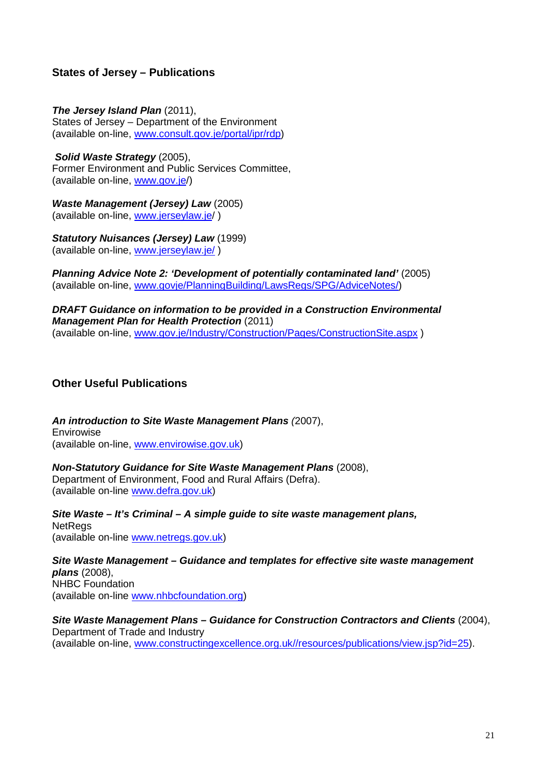#### **States of Jersey – Publications**

### **The Jersey Island Plan** (2011),

States of Jersey – Department of the Environment (available on-line, www.consult.gov.je/portal/ipr/rdp)

#### **Solid Waste Strategy** (2005), Former Environment and Public Services Committee, (available on-line, www.gov.je/)

**Waste Management (Jersey) Law** (2005) (available on-line, www.jerseylaw.je/ )

**Statutory Nuisances (Jersey) Law** (1999) (available on-line, www.jerseylaw.je/ )

**Planning Advice Note 2: 'Development of potentially contaminated land'** (2005) (available on-line, www.govje/PlanningBuilding/LawsRegs/SPG/AdviceNotes/)

**DRAFT Guidance on information to be provided in a Construction Environmental Management Plan for Health Protection** (2011) (available on-line, www.gov.je/Industry/Construction/Pages/ConstructionSite.aspx )

#### **Other Useful Publications**

**An introduction to Site Waste Management Plans** (2007), Envirowise (available on-line, www.envirowise.gov.uk)

**Non-Statutory Guidance for Site Waste Management Plans** (2008), Department of Environment, Food and Rural Affairs (Defra). (available on-line www.defra.gov.uk)

**Site Waste – It's Criminal – A simple guide to site waste management plans, NetRegs** (available on-line www.netregs.gov.uk)

**Site Waste Management – Guidance and templates for effective site waste management plans** (2008), NHBC Foundation (available on-line www.nhbcfoundation.org)

#### **Site Waste Management Plans – Guidance for Construction Contractors and Clients** (2004),

Department of Trade and Industry (available on-line, www.constructingexcellence.org.uk//resources/publications/view.jsp?id=25).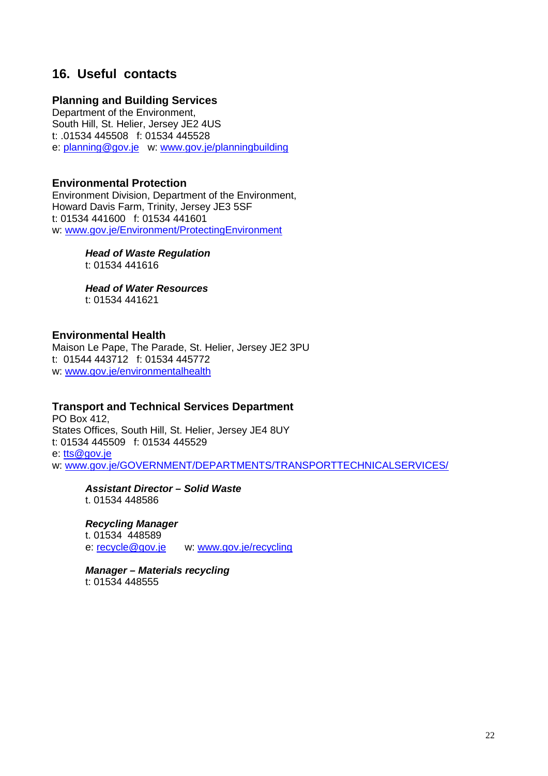### **16. Useful contacts**

#### **Planning and Building Services**

Department of the Environment, South Hill, St. Helier, Jersey JE2 4US t: .01534 445508 f: 01534 445528 e: planning@gov.je w: www.gov.je/planningbuilding

#### **Environmental Protection**

Environment Division, Department of the Environment, Howard Davis Farm, Trinity, Jersey JE3 5SF t: 01534 441600 f: 01534 441601 w: www.gov.je/Environment/ProtectingEnvironment

> **Head of Waste Regulation** t: 01534 441616

 **Head of Water Resources** t: 01534 441621

#### **Environmental Health**

Maison Le Pape, The Parade, St. Helier, Jersey JE2 3PU t: 01544 443712 f: 01534 445772 w: www.gov.je/environmentalhealth

#### **Transport and Technical Services Department**

PO Box 412, States Offices, South Hill, St. Helier, Jersey JE4 8UY t: 01534 445509 f: 01534 445529 e: tts@gov.je w: www.gov.je/GOVERNMENT/DEPARTMENTS/TRANSPORTTECHNICALSERVICES/

 **Assistant Director – Solid Waste**  t. 01534 448586

 **Recycling Manager**  t. 01534 448589 e: recycle@gov.je w: www.gov.je/recycling

 **Manager – Materials recycling**  t: 01534 448555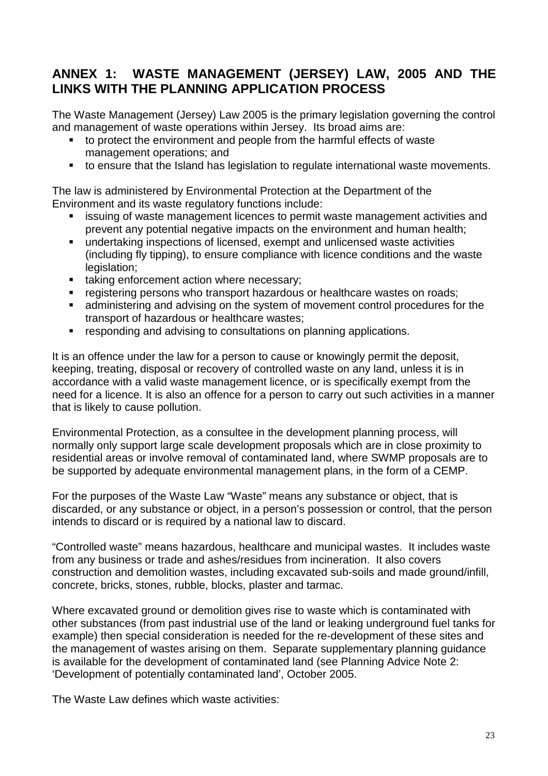### **ANNEX 1: WASTE MANAGEMENT (JERSEY) LAW, 2005 AND THE LINKS WITH THE PLANNING APPLICATION PROCESS**

The Waste Management (Jersey) Law 2005 is the primary legislation governing the control and management of waste operations within Jersey. Its broad aims are:

- to protect the environment and people from the harmful effects of waste management operations; and
- to ensure that the Island has legislation to regulate international waste movements.

The law is administered by Environmental Protection at the Department of the Environment and its waste regulatory functions include:

- issuing of waste management licences to permit waste management activities and prevent any potential negative impacts on the environment and human health;
- undertaking inspections of licensed, exempt and unlicensed waste activities (including fly tipping), to ensure compliance with licence conditions and the waste legislation:
- **taking enforcement action where necessary;**
- registering persons who transport hazardous or healthcare wastes on roads;
- administering and advising on the system of movement control procedures for the transport of hazardous or healthcare wastes;
- responding and advising to consultations on planning applications.

It is an offence under the law for a person to cause or knowingly permit the deposit, keeping, treating, disposal or recovery of controlled waste on any land, unless it is in accordance with a valid waste management licence, or is specifically exempt from the need for a licence. It is also an offence for a person to carry out such activities in a manner that is likely to cause pollution.

Environmental Protection, as a consultee in the development planning process, will normally only support large scale development proposals which are in close proximity to residential areas or involve removal of contaminated land, where SWMP proposals are to be supported by adequate environmental management plans, in the form of a CEMP.

For the purposes of the Waste Law "Waste" means any substance or object, that is discarded, or any substance or object, in a person's possession or control, that the person intends to discard or is required by a national law to discard.

"Controlled waste" means hazardous, healthcare and municipal wastes. It includes waste from any business or trade and ashes/residues from incineration. It also covers construction and demolition wastes, including excavated sub-soils and made ground/infill, concrete, bricks, stones, rubble, blocks, plaster and tarmac.

Where excavated ground or demolition gives rise to waste which is contaminated with other substances (from past industrial use of the land or leaking underground fuel tanks for example) then special consideration is needed for the re-development of these sites and the management of wastes arising on them. Separate supplementary planning guidance is available for the development of contaminated land (see Planning Advice Note 2: 'Development of potentially contaminated land', October 2005.

The Waste Law defines which waste activities: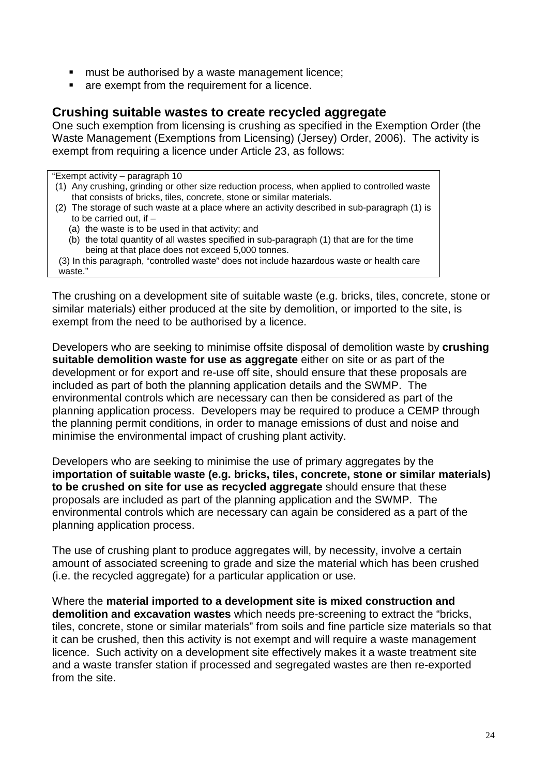- **EXECT** must be authorised by a waste management licence;
- **are exempt from the requirement for a licence.**

#### **Crushing suitable wastes to create recycled aggregate**

One such exemption from licensing is crushing as specified in the Exemption Order (the Waste Management (Exemptions from Licensing) (Jersey) Order, 2006). The activity is exempt from requiring a licence under Article 23, as follows:

"Exempt activity – paragraph 10 (1) Any crushing, grinding or other size reduction process, when applied to controlled waste that consists of bricks, tiles, concrete, stone or similar materials. (2) The storage of such waste at a place where an activity described in sub-paragraph (1) is to be carried out, if  $-$ (a) the waste is to be used in that activity; and (b) the total quantity of all wastes specified in sub-paragraph (1) that are for the time being at that place does not exceed 5,000 tonnes. (3) In this paragraph, "controlled waste" does not include hazardous waste or health care waste."

The crushing on a development site of suitable waste (e.g. bricks, tiles, concrete, stone or similar materials) either produced at the site by demolition, or imported to the site, is exempt from the need to be authorised by a licence.

Developers who are seeking to minimise offsite disposal of demolition waste by **crushing suitable demolition waste for use as aggregate** either on site or as part of the development or for export and re-use off site, should ensure that these proposals are included as part of both the planning application details and the SWMP. The environmental controls which are necessary can then be considered as part of the planning application process. Developers may be required to produce a CEMP through the planning permit conditions, in order to manage emissions of dust and noise and minimise the environmental impact of crushing plant activity.

Developers who are seeking to minimise the use of primary aggregates by the **importation of suitable waste (e.g. bricks, tiles, concrete, stone or similar materials) to be crushed on site for use as recycled aggregate** should ensure that these proposals are included as part of the planning application and the SWMP. The environmental controls which are necessary can again be considered as a part of the planning application process.

The use of crushing plant to produce aggregates will, by necessity, involve a certain amount of associated screening to grade and size the material which has been crushed (i.e. the recycled aggregate) for a particular application or use.

Where the **material imported to a development site is mixed construction and demolition and excavation wastes** which needs pre-screening to extract the "bricks, tiles, concrete, stone or similar materials" from soils and fine particle size materials so that it can be crushed, then this activity is not exempt and will require a waste management licence. Such activity on a development site effectively makes it a waste treatment site and a waste transfer station if processed and segregated wastes are then re-exported from the site.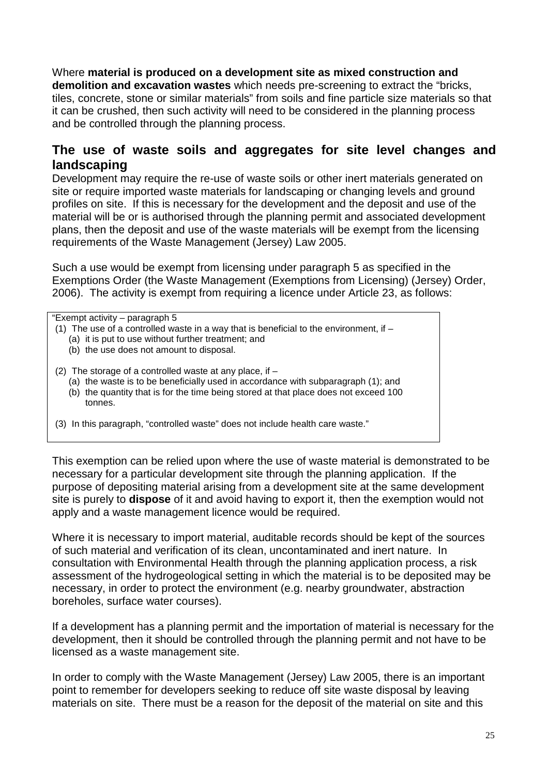Where **material is produced on a development site as mixed construction and demolition and excavation wastes** which needs pre-screening to extract the "bricks, tiles, concrete, stone or similar materials" from soils and fine particle size materials so that it can be crushed, then such activity will need to be considered in the planning process and be controlled through the planning process.

### **The use of waste soils and aggregates for site level changes and landscaping**

Development may require the re-use of waste soils or other inert materials generated on site or require imported waste materials for landscaping or changing levels and ground profiles on site. If this is necessary for the development and the deposit and use of the material will be or is authorised through the planning permit and associated development plans, then the deposit and use of the waste materials will be exempt from the licensing requirements of the Waste Management (Jersey) Law 2005.

Such a use would be exempt from licensing under paragraph 5 as specified in the Exemptions Order (the Waste Management (Exemptions from Licensing) (Jersey) Order, 2006). The activity is exempt from requiring a licence under Article 23, as follows:

"Exempt activity – paragraph 5 (1) The use of a controlled waste in a way that is beneficial to the environment, if  $-$ (a) it is put to use without further treatment; and (b) the use does not amount to disposal. (2) The storage of a controlled waste at any place, if  $-$ (a) the waste is to be beneficially used in accordance with subparagraph (1); and (b) the quantity that is for the time being stored at that place does not exceed 100 tonnes. (3) In this paragraph, "controlled waste" does not include health care waste."

This exemption can be relied upon where the use of waste material is demonstrated to be necessary for a particular development site through the planning application. If the purpose of depositing material arising from a development site at the same development site is purely to **dispose** of it and avoid having to export it, then the exemption would not apply and a waste management licence would be required.

Where it is necessary to import material, auditable records should be kept of the sources of such material and verification of its clean, uncontaminated and inert nature. In consultation with Environmental Health through the planning application process, a risk assessment of the hydrogeological setting in which the material is to be deposited may be necessary, in order to protect the environment (e.g. nearby groundwater, abstraction boreholes, surface water courses).

If a development has a planning permit and the importation of material is necessary for the development, then it should be controlled through the planning permit and not have to be licensed as a waste management site.

In order to comply with the Waste Management (Jersey) Law 2005, there is an important point to remember for developers seeking to reduce off site waste disposal by leaving materials on site. There must be a reason for the deposit of the material on site and this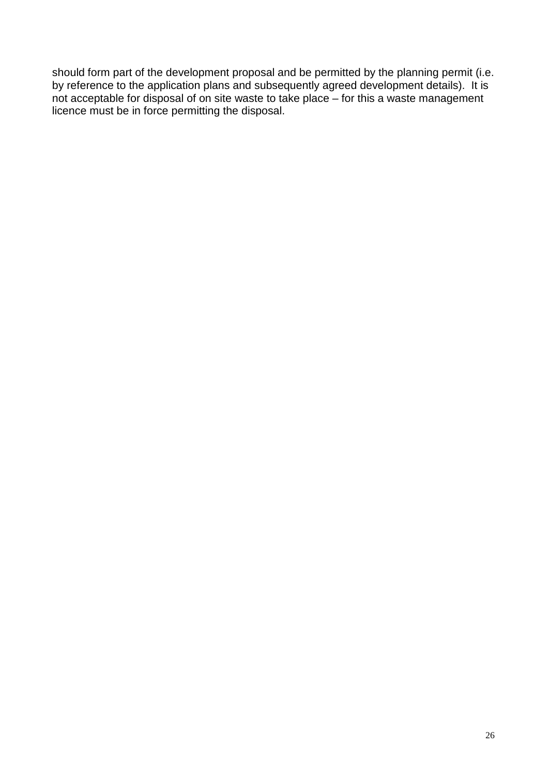should form part of the development proposal and be permitted by the planning permit (i.e. by reference to the application plans and subsequently agreed development details). It is not acceptable for disposal of on site waste to take place – for this a waste management licence must be in force permitting the disposal.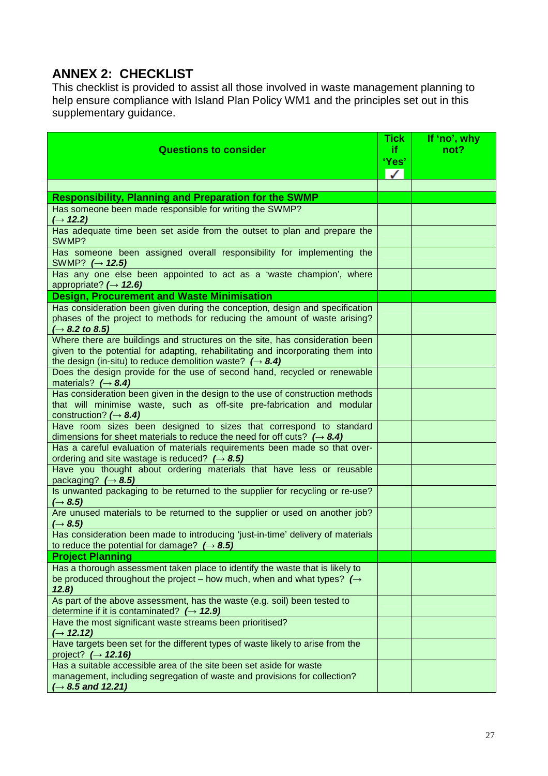### **ANNEX 2: CHECKLIST**

This checklist is provided to assist all those involved in waste management planning to help ensure compliance with Island Plan Policy WM1 and the principles set out in this supplementary guidance.

| <b>Questions to consider</b>                                                                                                                                                                                                            | <b>Tick</b><br>if.<br>'Yes'<br>$\checkmark$ | If 'no', why<br>not? |
|-----------------------------------------------------------------------------------------------------------------------------------------------------------------------------------------------------------------------------------------|---------------------------------------------|----------------------|
|                                                                                                                                                                                                                                         |                                             |                      |
| <b>Responsibility, Planning and Preparation for the SWMP</b>                                                                                                                                                                            |                                             |                      |
| Has someone been made responsible for writing the SWMP?<br>$(\rightarrow 12.2)$                                                                                                                                                         |                                             |                      |
| Has adequate time been set aside from the outset to plan and prepare the<br>SWMP?                                                                                                                                                       |                                             |                      |
| Has someone been assigned overall responsibility for implementing the<br>SWMP? $(\rightarrow 12.5)$                                                                                                                                     |                                             |                      |
| Has any one else been appointed to act as a 'waste champion', where<br>appropriate? $(\rightarrow$ 12.6)                                                                                                                                |                                             |                      |
| <b>Design, Procurement and Waste Minimisation</b>                                                                                                                                                                                       |                                             |                      |
| Has consideration been given during the conception, design and specification<br>phases of the project to methods for reducing the amount of waste arising?<br>$\rightarrow$ 8.2 to 8.5)                                                 |                                             |                      |
| Where there are buildings and structures on the site, has consideration been<br>given to the potential for adapting, rehabilitating and incorporating them into<br>the design (in-situ) to reduce demolition waste? $(\rightarrow 8.4)$ |                                             |                      |
| Does the design provide for the use of second hand, recycled or renewable<br>materials? $(\rightarrow 8.4)$                                                                                                                             |                                             |                      |
| Has consideration been given in the design to the use of construction methods<br>that will minimise waste, such as off-site pre-fabrication and modular<br>construction? $(\rightarrow 8.4)$                                            |                                             |                      |
| Have room sizes been designed to sizes that correspond to standard<br>dimensions for sheet materials to reduce the need for off cuts? $(\rightarrow 8.4)$                                                                               |                                             |                      |
| Has a careful evaluation of materials requirements been made so that over-<br>ordering and site wastage is reduced? $(\rightarrow 8.5)$                                                                                                 |                                             |                      |
| Have you thought about ordering materials that have less or reusable<br>packaging? $(\rightarrow 8.5)$                                                                                                                                  |                                             |                      |
| Is unwanted packaging to be returned to the supplier for recycling or re-use?<br>$(\rightarrow 8.5)$                                                                                                                                    |                                             |                      |
| Are unused materials to be returned to the supplier or used on another job?<br>$(\rightarrow 8.5)$                                                                                                                                      |                                             |                      |
| Has consideration been made to introducing 'just-in-time' delivery of materials<br>to reduce the potential for damage? $(\rightarrow 8.5)$                                                                                              |                                             |                      |
| <b>Project Planning</b>                                                                                                                                                                                                                 |                                             |                      |
| Has a thorough assessment taken place to identify the waste that is likely to<br>be produced throughout the project – how much, when and what types? $\rightarrow$<br>12.8)                                                             |                                             |                      |
| As part of the above assessment, has the waste (e.g. soil) been tested to<br>determine if it is contaminated? $(\rightarrow 12.9)$                                                                                                      |                                             |                      |
| Have the most significant waste streams been prioritised?<br>$(\rightarrow 12.12)$                                                                                                                                                      |                                             |                      |
| Have targets been set for the different types of waste likely to arise from the<br>project? $(\rightarrow 12.16)$                                                                                                                       |                                             |                      |
| Has a suitable accessible area of the site been set aside for waste<br>management, including segregation of waste and provisions for collection?<br>$(\rightarrow 8.5$ and 12.21)                                                       |                                             |                      |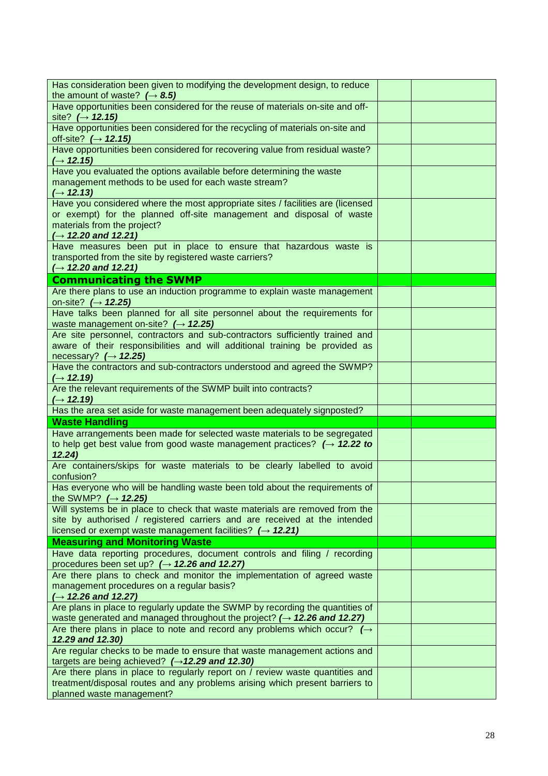| Has consideration been given to modifying the development design, to reduce<br>the amount of waste? $(\rightarrow 8.5)$                                                                                                           |  |
|-----------------------------------------------------------------------------------------------------------------------------------------------------------------------------------------------------------------------------------|--|
| Have opportunities been considered for the reuse of materials on-site and off-<br>site? $(\rightarrow 12.15)$                                                                                                                     |  |
| Have opportunities been considered for the recycling of materials on-site and<br>off-site? $(\rightarrow 12.15)$                                                                                                                  |  |
| Have opportunities been considered for recovering value from residual waste?<br>$(\rightarrow 12.15)$                                                                                                                             |  |
| Have you evaluated the options available before determining the waste<br>management methods to be used for each waste stream?<br>$( \rightarrow 12.13)$                                                                           |  |
| Have you considered where the most appropriate sites / facilities are (licensed<br>or exempt) for the planned off-site management and disposal of waste<br>materials from the project?<br>$(\rightarrow 12.20$ and 12.21)         |  |
| Have measures been put in place to ensure that hazardous waste is<br>transported from the site by registered waste carriers?<br>$(\rightarrow 12.20$ and 12.21)                                                                   |  |
| <b>Communicating the SWMP</b>                                                                                                                                                                                                     |  |
| Are there plans to use an induction programme to explain waste management<br>on-site? $(\rightarrow 12.25)$                                                                                                                       |  |
| Have talks been planned for all site personnel about the requirements for<br>waste management on-site? $(\rightarrow 12.25)$                                                                                                      |  |
| Are site personnel, contractors and sub-contractors sufficiently trained and<br>aware of their responsibilities and will additional training be provided as<br>necessary? $(\rightarrow 12.25)$                                   |  |
| Have the contractors and sub-contractors understood and agreed the SWMP?<br>$(\rightarrow 12.19)$                                                                                                                                 |  |
| Are the relevant requirements of the SWMP built into contracts?<br>$(\rightarrow 12.19)$                                                                                                                                          |  |
| Has the area set aside for waste management been adequately signposted?                                                                                                                                                           |  |
| <b>Waste Handling</b>                                                                                                                                                                                                             |  |
| Have arrangements been made for selected waste materials to be segregated                                                                                                                                                         |  |
| to help get best value from good waste management practices? $(\rightarrow 12.22$ to<br>12.24)                                                                                                                                    |  |
| Are containers/skips for waste materials to be clearly labelled to avoid<br>confusion?                                                                                                                                            |  |
| Has everyone who will be handling waste been told about the requirements of<br>the SWMP? $(\rightarrow 12.25)$                                                                                                                    |  |
| Will systems be in place to check that waste materials are removed from the<br>site by authorised / registered carriers and are received at the intended<br>licensed or exempt waste management facilities? $(\rightarrow 12.21)$ |  |
| <b>Measuring and Monitoring Waste</b>                                                                                                                                                                                             |  |
| Have data reporting procedures, document controls and filing / recording<br>procedures been set up? $(\rightarrow 12.26$ and 12.27)                                                                                               |  |
| Are there plans to check and monitor the implementation of agreed waste<br>management procedures on a regular basis?<br>$(\rightarrow 12.26$ and 12.27)                                                                           |  |
| Are plans in place to regularly update the SWMP by recording the quantities of<br>waste generated and managed throughout the project? $(\rightarrow$ 12.26 and 12.27)                                                             |  |
| Are there plans in place to note and record any problems which occur? $\rightarrow$<br>12.29 and 12.30)                                                                                                                           |  |
| Are regular checks to be made to ensure that waste management actions and<br>targets are being achieved? $(\rightarrow 12.29$ and 12.30)                                                                                          |  |
| Are there plans in place to regularly report on / review waste quantities and<br>treatment/disposal routes and any problems arising which present barriers to                                                                     |  |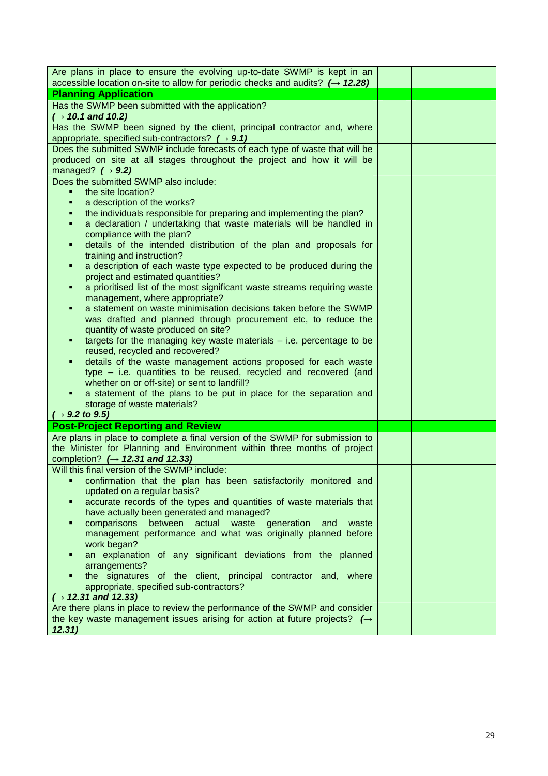| Are plans in place to ensure the evolving up-to-date SWMP is kept in an<br>accessible location on-site to allow for periodic checks and audits? $(\rightarrow 12.28)$ |  |
|-----------------------------------------------------------------------------------------------------------------------------------------------------------------------|--|
| <b>Planning Application</b>                                                                                                                                           |  |
| Has the SWMP been submitted with the application?                                                                                                                     |  |
| $(\rightarrow 10.1$ and 10.2)                                                                                                                                         |  |
| Has the SWMP been signed by the client, principal contractor and, where                                                                                               |  |
| appropriate, specified sub-contractors? $(\rightarrow 9.1)$                                                                                                           |  |
| Does the submitted SWMP include forecasts of each type of waste that will be                                                                                          |  |
| produced on site at all stages throughout the project and how it will be                                                                                              |  |
| managed? $(\rightarrow 9.2)$<br>Does the submitted SWMP also include:                                                                                                 |  |
| the site location?<br>٠                                                                                                                                               |  |
| a description of the works?<br>٠                                                                                                                                      |  |
| the individuals responsible for preparing and implementing the plan?<br>٠                                                                                             |  |
| a declaration / undertaking that waste materials will be handled in<br>٠                                                                                              |  |
| compliance with the plan?                                                                                                                                             |  |
| details of the intended distribution of the plan and proposals for<br>٠                                                                                               |  |
| training and instruction?                                                                                                                                             |  |
| a description of each waste type expected to be produced during the<br>٠<br>project and estimated quantities?                                                         |  |
| a prioritised list of the most significant waste streams requiring waste<br>٠                                                                                         |  |
| management, where appropriate?                                                                                                                                        |  |
| a statement on waste minimisation decisions taken before the SWMP                                                                                                     |  |
| was drafted and planned through procurement etc, to reduce the                                                                                                        |  |
| quantity of waste produced on site?                                                                                                                                   |  |
| targets for the managing key waste materials $-$ i.e. percentage to be<br>٠                                                                                           |  |
| reused, recycled and recovered?                                                                                                                                       |  |
| details of the waste management actions proposed for each waste                                                                                                       |  |
| type - i.e. quantities to be reused, recycled and recovered (and<br>whether on or off-site) or sent to landfill?                                                      |  |
| a statement of the plans to be put in place for the separation and                                                                                                    |  |
| storage of waste materials?                                                                                                                                           |  |
| $(\rightarrow 9.2 \text{ to } 9.5)$                                                                                                                                   |  |
| <b>Post-Project Reporting and Review</b>                                                                                                                              |  |
| Are plans in place to complete a final version of the SWMP for submission to                                                                                          |  |
| the Minister for Planning and Environment within three months of project                                                                                              |  |
| completion? $(\rightarrow$ 12.31 and 12.33)                                                                                                                           |  |
| Will this final version of the SWMP include:<br>confirmation that the plan has been satisfactorily monitored and                                                      |  |
| updated on a regular basis?                                                                                                                                           |  |
| accurate records of the types and quantities of waste materials that                                                                                                  |  |
| have actually been generated and managed?                                                                                                                             |  |
| between actual waste<br>comparisons<br>generation<br>and<br>waste                                                                                                     |  |
| management performance and what was originally planned before                                                                                                         |  |
| work began?                                                                                                                                                           |  |
| an explanation of any significant deviations from the planned                                                                                                         |  |
| arrangements?                                                                                                                                                         |  |
| the signatures of the client, principal contractor and, where<br>appropriate, specified sub-contractors?                                                              |  |
| $(\rightarrow 12.31$ and 12.33)                                                                                                                                       |  |
| Are there plans in place to review the performance of the SWMP and consider                                                                                           |  |
| the key waste management issues arising for action at future projects? $(\rightarrow$                                                                                 |  |
| 12.31)                                                                                                                                                                |  |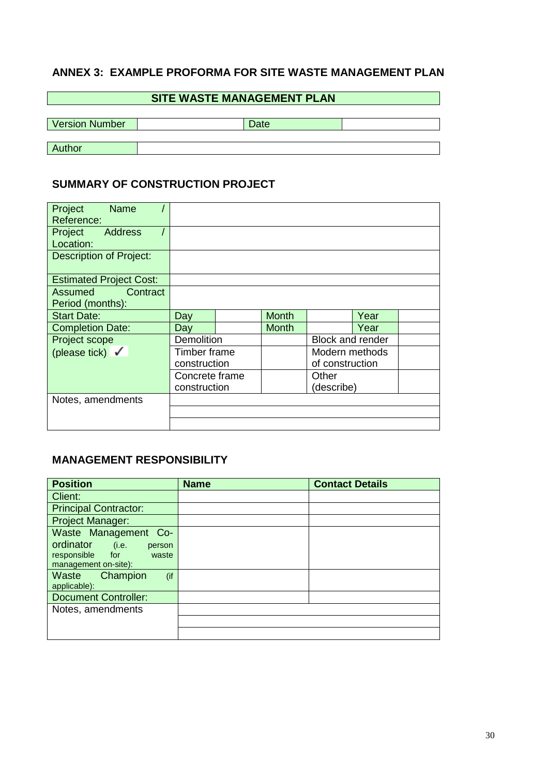### **ANNEX 3: EXAMPLE PROFORMA FOR SITE WASTE MANAGEMENT PLAN**

#### **SITE WASTE MANAGEMENT PLAN**

| <b>Version Number</b> | Date |  |
|-----------------------|------|--|
|                       |      |  |
| Author                |      |  |

#### **SUMMARY OF CONSTRUCTION PROJECT**

| Project<br><b>Name</b>         |                |  |              |                         |      |  |
|--------------------------------|----------------|--|--------------|-------------------------|------|--|
| Reference:                     |                |  |              |                         |      |  |
| <b>Address</b><br>Project      |                |  |              |                         |      |  |
| Location:                      |                |  |              |                         |      |  |
| <b>Description of Project:</b> |                |  |              |                         |      |  |
| <b>Estimated Project Cost:</b> |                |  |              |                         |      |  |
| Contract<br>Assumed            |                |  |              |                         |      |  |
| Period (months):               |                |  |              |                         |      |  |
| <b>Start Date:</b>             | Day            |  | <b>Month</b> |                         | Year |  |
| <b>Completion Date:</b>        | Day            |  | <b>Month</b> |                         | Year |  |
| Project scope                  | Demolition     |  |              | <b>Block and render</b> |      |  |
| (please tick) $\checkmark$     | Timber frame   |  |              | Modern methods          |      |  |
|                                | construction   |  |              | of construction         |      |  |
|                                | Concrete frame |  |              | Other                   |      |  |
|                                | construction   |  |              | (describe)              |      |  |
| Notes, amendments              |                |  |              |                         |      |  |
|                                |                |  |              |                         |      |  |
|                                |                |  |              |                         |      |  |

#### **MANAGEMENT RESPONSIBILITY**

| <b>Position</b>                                     | <b>Name</b> | <b>Contact Details</b> |
|-----------------------------------------------------|-------------|------------------------|
| Client:                                             |             |                        |
| <b>Principal Contractor:</b>                        |             |                        |
| <b>Project Manager:</b>                             |             |                        |
| Waste Management Co-                                |             |                        |
| ordinator<br>(i.e.<br>person                        |             |                        |
| responsible<br>for<br>waste<br>management on-site): |             |                        |
| Waste<br>Champion<br>(if                            |             |                        |
| applicable):                                        |             |                        |
| <b>Document Controller:</b>                         |             |                        |
| Notes, amendments                                   |             |                        |
|                                                     |             |                        |
|                                                     |             |                        |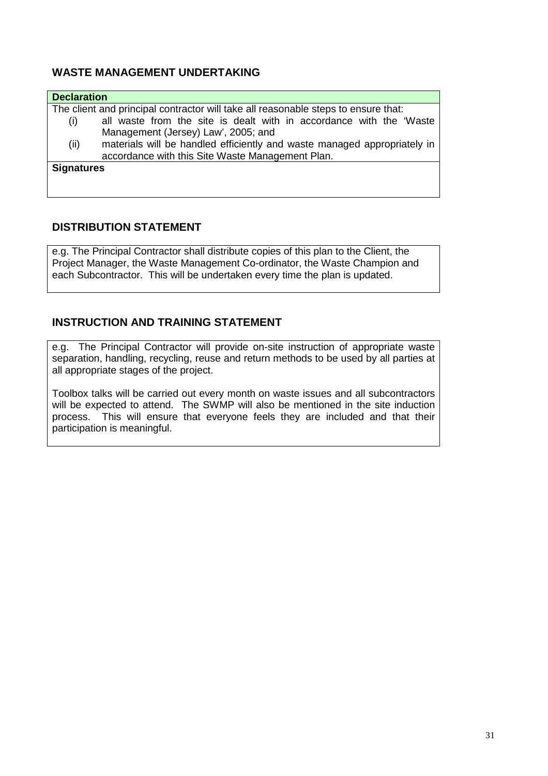#### **WASTE MANAGEMENT UNDERTAKING**

| <b>Declaration</b>                                                                 |
|------------------------------------------------------------------------------------|
| The client and principal contractor will take all reasonable steps to ensure that: |
| all waste from the site is dealt with in accordance with the 'Waste<br>(i)         |
| Management (Jersey) Law', 2005; and                                                |
| materials will be handled efficiently and waste managed appropriately in<br>(ii)   |
| accordance with this Site Waste Management Plan.                                   |
| <b>Signatures</b>                                                                  |
|                                                                                    |

#### **DISTRIBUTION STATEMENT**

e.g. The Principal Contractor shall distribute copies of this plan to the Client, the Project Manager, the Waste Management Co-ordinator, the Waste Champion and each Subcontractor. This will be undertaken every time the plan is updated.

#### **INSTRUCTION AND TRAINING STATEMENT**

e.g. The Principal Contractor will provide on-site instruction of appropriate waste separation, handling, recycling, reuse and return methods to be used by all parties at all appropriate stages of the project.

Toolbox talks will be carried out every month on waste issues and all subcontractors will be expected to attend. The SWMP will also be mentioned in the site induction process. This will ensure that everyone feels they are included and that their participation is meaningful.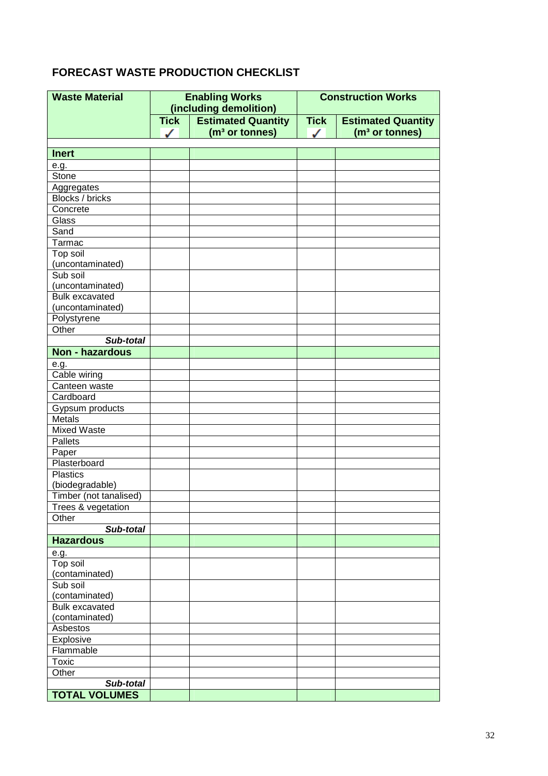### **FORECAST WASTE PRODUCTION CHECKLIST**

| <b>Waste Material</b>                |             | <b>Enabling Works</b>      | <b>Construction Works</b> |                            |  |
|--------------------------------------|-------------|----------------------------|---------------------------|----------------------------|--|
|                                      |             | (including demolition)     |                           |                            |  |
|                                      | <b>Tick</b> | <b>Estimated Quantity</b>  | <b>Tick</b>               | <b>Estimated Quantity</b>  |  |
|                                      | $\sqrt{2}$  | (m <sup>3</sup> or tonnes) | ✓                         | (m <sup>3</sup> or tonnes) |  |
|                                      |             |                            |                           |                            |  |
| <b>Inert</b>                         |             |                            |                           |                            |  |
| e.g.<br>Stone                        |             |                            |                           |                            |  |
|                                      |             |                            |                           |                            |  |
| Aggregates<br><b>Blocks / bricks</b> |             |                            |                           |                            |  |
| Concrete                             |             |                            |                           |                            |  |
| Glass                                |             |                            |                           |                            |  |
| Sand                                 |             |                            |                           |                            |  |
| Tarmac                               |             |                            |                           |                            |  |
| Top soil                             |             |                            |                           |                            |  |
| (uncontaminated)                     |             |                            |                           |                            |  |
| Sub soil                             |             |                            |                           |                            |  |
| (uncontaminated)                     |             |                            |                           |                            |  |
| <b>Bulk excavated</b>                |             |                            |                           |                            |  |
| (uncontaminated)                     |             |                            |                           |                            |  |
| Polystyrene                          |             |                            |                           |                            |  |
| Other                                |             |                            |                           |                            |  |
| Sub-total                            |             |                            |                           |                            |  |
| <b>Non - hazardous</b>               |             |                            |                           |                            |  |
|                                      |             |                            |                           |                            |  |
| e.g.<br>Cable wiring                 |             |                            |                           |                            |  |
| Canteen waste                        |             |                            |                           |                            |  |
| Cardboard                            |             |                            |                           |                            |  |
| Gypsum products                      |             |                            |                           |                            |  |
| Metals                               |             |                            |                           |                            |  |
| <b>Mixed Waste</b>                   |             |                            |                           |                            |  |
| <b>Pallets</b>                       |             |                            |                           |                            |  |
| Paper                                |             |                            |                           |                            |  |
| Plasterboard                         |             |                            |                           |                            |  |
| <b>Plastics</b>                      |             |                            |                           |                            |  |
| (biodegradable)                      |             |                            |                           |                            |  |
| Timber (not tanalised)               |             |                            |                           |                            |  |
| Trees & vegetation                   |             |                            |                           |                            |  |
| Other                                |             |                            |                           |                            |  |
| Sub-total                            |             |                            |                           |                            |  |
| <b>Hazardous</b>                     |             |                            |                           |                            |  |
| e.g.                                 |             |                            |                           |                            |  |
| Top soil                             |             |                            |                           |                            |  |
| (contaminated)                       |             |                            |                           |                            |  |
| Sub soil                             |             |                            |                           |                            |  |
| (contaminated)                       |             |                            |                           |                            |  |
| <b>Bulk excavated</b>                |             |                            |                           |                            |  |
| (contaminated)                       |             |                            |                           |                            |  |
| Asbestos                             |             |                            |                           |                            |  |
| Explosive                            |             |                            |                           |                            |  |
| Flammable                            |             |                            |                           |                            |  |
| Toxic                                |             |                            |                           |                            |  |
| Other                                |             |                            |                           |                            |  |
| Sub-total                            |             |                            |                           |                            |  |
| <b>TOTAL VOLUMES</b>                 |             |                            |                           |                            |  |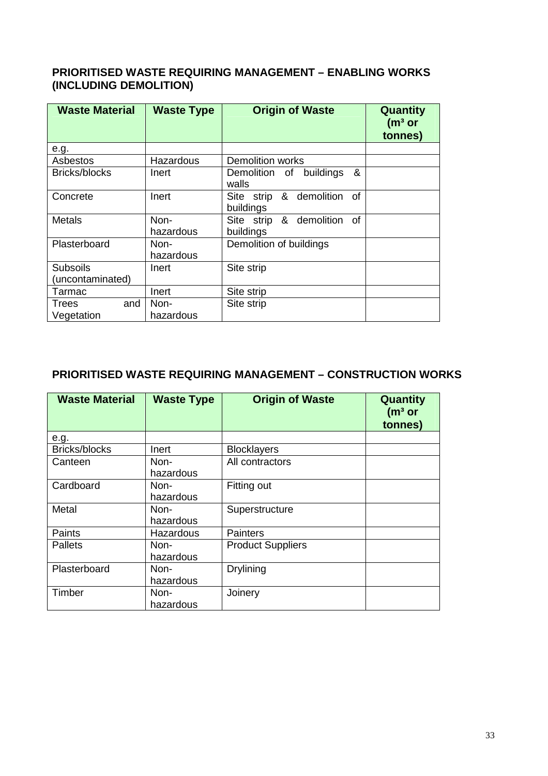#### **PRIORITISED WASTE REQUIRING MANAGEMENT – ENABLING WORKS (INCLUDING DEMOLITION)**

| <b>Waste Material</b> | <b>Waste Type</b> | <b>Origin of Waste</b>                   | Quantity<br>(m <sup>3</sup> or<br>tonnes) |
|-----------------------|-------------------|------------------------------------------|-------------------------------------------|
| e.g.                  |                   |                                          |                                           |
| Asbestos              | Hazardous         | <b>Demolition works</b>                  |                                           |
| Bricks/blocks         | Inert             | &<br>buildings<br>Demolition of<br>walls |                                           |
| Concrete              | Inert             | Site strip & demolition of<br>buildings  |                                           |
| <b>Metals</b>         | Non-              | Site strip & demolition of               |                                           |
|                       | hazardous         | buildings                                |                                           |
| Plasterboard          | Non-              | Demolition of buildings                  |                                           |
|                       | hazardous         |                                          |                                           |
| <b>Subsoils</b>       | Inert             | Site strip                               |                                           |
| (uncontaminated)      |                   |                                          |                                           |
| Tarmac                | Inert             | Site strip                               |                                           |
| and<br><b>Trees</b>   | Non-              | Site strip                               |                                           |
| Vegetation            | hazardous         |                                          |                                           |

#### **PRIORITISED WASTE REQUIRING MANAGEMENT – CONSTRUCTION WORKS**

| <b>Waste Material</b> | <b>Waste Type</b> | <b>Origin of Waste</b>   | Quantity<br>(m <sup>3</sup> or<br>tonnes) |
|-----------------------|-------------------|--------------------------|-------------------------------------------|
| e.g.                  |                   |                          |                                           |
| Bricks/blocks         | Inert             | <b>Blocklayers</b>       |                                           |
| Canteen               | Non-<br>hazardous | All contractors          |                                           |
| Cardboard             | Non-<br>hazardous | Fitting out              |                                           |
| Metal                 | Non-<br>hazardous | Superstructure           |                                           |
| Paints                | Hazardous         | <b>Painters</b>          |                                           |
| <b>Pallets</b>        | Non-<br>hazardous | <b>Product Suppliers</b> |                                           |
| Plasterboard          | Non-<br>hazardous | <b>Drylining</b>         |                                           |
| Timber                | Non-<br>hazardous | Joinery                  |                                           |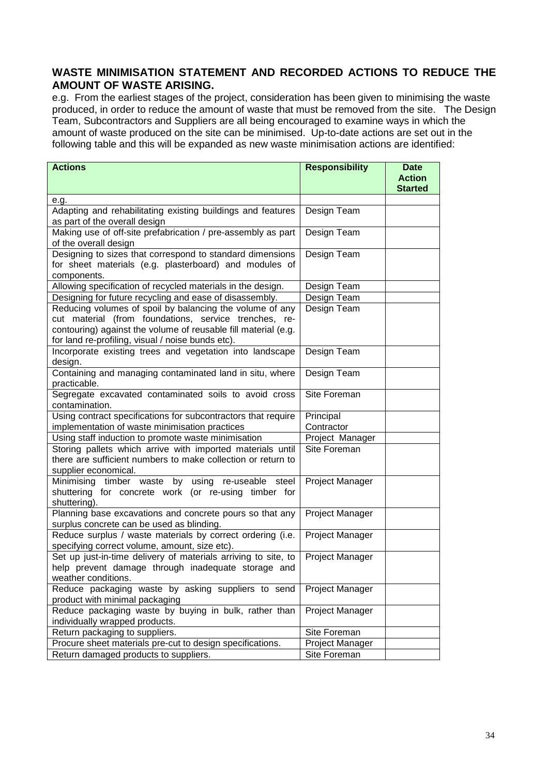#### **WASTE MINIMISATION STATEMENT AND RECORDED ACTIONS TO REDUCE THE AMOUNT OF WASTE ARISING.**

e.g. From the earliest stages of the project, consideration has been given to minimising the waste produced, in order to reduce the amount of waste that must be removed from the site. The Design Team, Subcontractors and Suppliers are all being encouraged to examine ways in which the amount of waste produced on the site can be minimised. Up-to-date actions are set out in the following table and this will be expanded as new waste minimisation actions are identified:

| <b>Actions</b>                                                        | <b>Responsibility</b> | <b>Date</b>    |
|-----------------------------------------------------------------------|-----------------------|----------------|
|                                                                       |                       | <b>Action</b>  |
|                                                                       |                       | <b>Started</b> |
| e.g.<br>Adapting and rehabilitating existing buildings and features   | Design Team           |                |
| as part of the overall design                                         |                       |                |
| Making use of off-site prefabrication / pre-assembly as part          | Design Team           |                |
| of the overall design                                                 |                       |                |
| Designing to sizes that correspond to standard dimensions             | Design Team           |                |
| for sheet materials (e.g. plasterboard) and modules of<br>components. |                       |                |
| Allowing specification of recycled materials in the design.           | Design Team           |                |
| Designing for future recycling and ease of disassembly.               | Design Team           |                |
| Reducing volumes of spoil by balancing the volume of any              | Design Team           |                |
| cut material (from foundations, service trenches, re-                 |                       |                |
| contouring) against the volume of reusable fill material (e.g.        |                       |                |
| for land re-profiling, visual / noise bunds etc).                     |                       |                |
| Incorporate existing trees and vegetation into landscape              | Design Team           |                |
| design.                                                               |                       |                |
| Containing and managing contaminated land in situ, where              | Design Team           |                |
| practicable.                                                          |                       |                |
| Segregate excavated contaminated soils to avoid cross                 | Site Foreman          |                |
| contamination.                                                        |                       |                |
| Using contract specifications for subcontractors that require         | Principal             |                |
| implementation of waste minimisation practices                        | Contractor            |                |
| Using staff induction to promote waste minimisation                   | Project Manager       |                |
| Storing pallets which arrive with imported materials until            | Site Foreman          |                |
| there are sufficient numbers to make collection or return to          |                       |                |
| supplier economical.                                                  |                       |                |
| Minimising timber waste by using re-useable steel                     | Project Manager       |                |
| shuttering for concrete work (or re-using timber for<br>shuttering).  |                       |                |
| Planning base excavations and concrete pours so that any              | Project Manager       |                |
| surplus concrete can be used as blinding.                             |                       |                |
| Reduce surplus / waste materials by correct ordering (i.e.            | Project Manager       |                |
| specifying correct volume, amount, size etc).                         |                       |                |
| Set up just-in-time delivery of materials arriving to site, to        | Project Manager       |                |
| help prevent damage through inadequate storage and                    |                       |                |
| weather conditions.                                                   |                       |                |
| Reduce packaging waste by asking suppliers to send                    | Project Manager       |                |
| product with minimal packaging                                        |                       |                |
| Reduce packaging waste by buying in bulk, rather than                 | Project Manager       |                |
| individually wrapped products.                                        |                       |                |
| Return packaging to suppliers.                                        | Site Foreman          |                |
| Procure sheet materials pre-cut to design specifications.             | Project Manager       |                |
| Return damaged products to suppliers.                                 | Site Foreman          |                |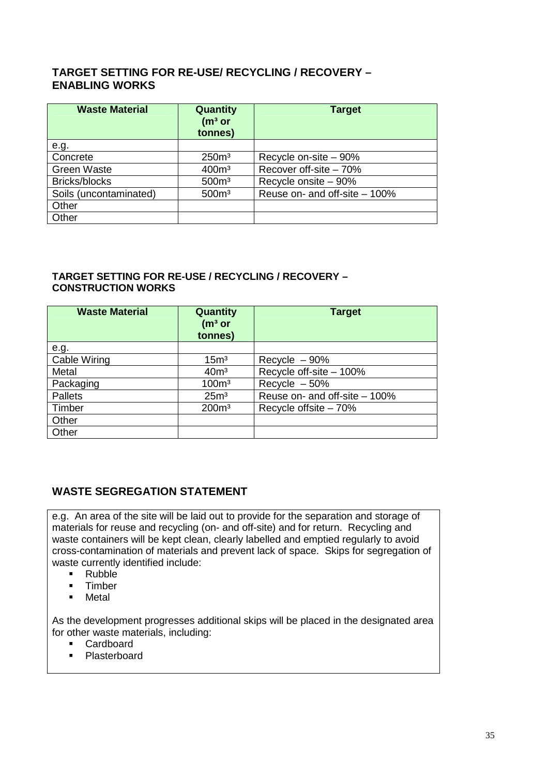#### **TARGET SETTING FOR RE-USE/ RECYCLING / RECOVERY – ENABLING WORKS**

| <b>Waste Material</b>  | Quantity<br>(m <sup>3</sup> or<br>tonnes) | <b>Target</b>                 |
|------------------------|-------------------------------------------|-------------------------------|
| e.g.                   |                                           |                               |
| Concrete               | 250 <sup>m3</sup>                         | Recycle on-site - 90%         |
| <b>Green Waste</b>     | 400 <sup>m</sup>                          | Recover off-site - 70%        |
| Bricks/blocks          | 500 <sup>m3</sup>                         | Recycle onsite - 90%          |
| Soils (uncontaminated) | 500 <sup>m3</sup>                         | Reuse on- and off-site - 100% |
| Other                  |                                           |                               |
| Other                  |                                           |                               |

#### **TARGET SETTING FOR RE-USE / RECYCLING / RECOVERY – CONSTRUCTION WORKS**

| <b>Waste Material</b> | Quantity<br>(m <sup>3</sup> or<br>tonnes) | <b>Target</b>                 |
|-----------------------|-------------------------------------------|-------------------------------|
| e.g.                  |                                           |                               |
| Cable Wiring          | 15 <sup>m3</sup>                          | Recycle $-90%$                |
| Metal                 | 40 <sup>m3</sup>                          | Recycle off-site - 100%       |
| Packaging             | 100 <sup>m3</sup>                         | Recycle $-50%$                |
| <b>Pallets</b>        | 25 <sup>m3</sup>                          | Reuse on- and off-site - 100% |
| Timber                | 200 <sup>m</sup>                          | Recycle offsite - 70%         |
| Other                 |                                           |                               |
| Other                 |                                           |                               |

#### **WASTE SEGREGATION STATEMENT**

e.g. An area of the site will be laid out to provide for the separation and storage of materials for reuse and recycling (on- and off-site) and for return. Recycling and waste containers will be kept clean, clearly labelled and emptied regularly to avoid cross-contamination of materials and prevent lack of space. Skips for segregation of waste currently identified include:

- Rubble
- **Timber**
- **-** Metal

As the development progresses additional skips will be placed in the designated area for other waste materials, including:

- Cardboard<br>Plasterboard
- Plasterboard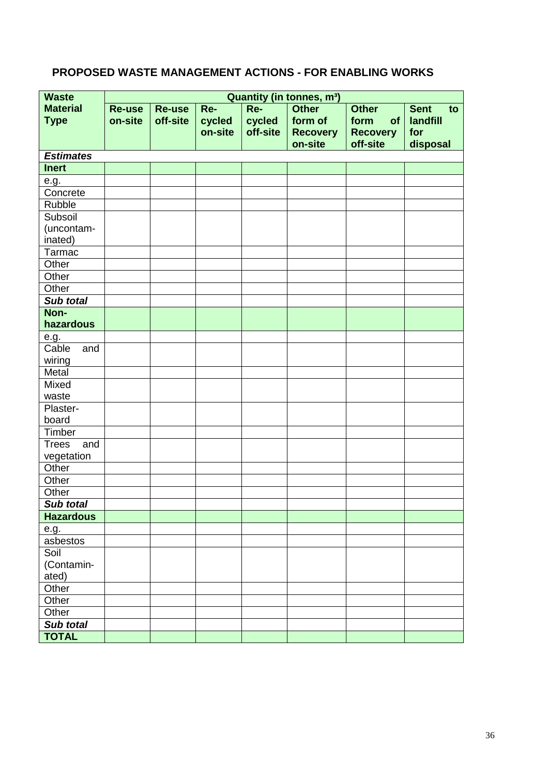### **PROPOSED WASTE MANAGEMENT ACTIONS - FOR ENABLING WORKS**

| <b>Waste</b>        | Quantity (in tonnes, m <sup>3</sup> ) |               |         |          |                 |                 |                   |
|---------------------|---------------------------------------|---------------|---------|----------|-----------------|-----------------|-------------------|
| <b>Material</b>     | <b>Re-use</b>                         | <b>Re-use</b> | Re-     | Re-      | <b>Other</b>    | <b>Other</b>    | <b>Sent</b><br>to |
| <b>Type</b>         | on-site                               | off-site      | cycled  | cycled   | form of         | of<br>form      | landfill          |
|                     |                                       |               | on-site | off-site | <b>Recovery</b> | <b>Recovery</b> | for               |
|                     |                                       |               |         |          | on-site         | off-site        | disposal          |
| <b>Estimates</b>    |                                       |               |         |          |                 |                 |                   |
| <b>Inert</b>        |                                       |               |         |          |                 |                 |                   |
| e.g.                |                                       |               |         |          |                 |                 |                   |
| Concrete            |                                       |               |         |          |                 |                 |                   |
| Rubble              |                                       |               |         |          |                 |                 |                   |
| Subsoil             |                                       |               |         |          |                 |                 |                   |
| (uncontam-          |                                       |               |         |          |                 |                 |                   |
| inated)             |                                       |               |         |          |                 |                 |                   |
| Tarmac              |                                       |               |         |          |                 |                 |                   |
| Other               |                                       |               |         |          |                 |                 |                   |
| Other               |                                       |               |         |          |                 |                 |                   |
| Other               |                                       |               |         |          |                 |                 |                   |
| Sub total           |                                       |               |         |          |                 |                 |                   |
| Non-                |                                       |               |         |          |                 |                 |                   |
| hazardous           |                                       |               |         |          |                 |                 |                   |
| e.g.                |                                       |               |         |          |                 |                 |                   |
| Cable<br>and        |                                       |               |         |          |                 |                 |                   |
| wiring              |                                       |               |         |          |                 |                 |                   |
| Metal               |                                       |               |         |          |                 |                 |                   |
| Mixed               |                                       |               |         |          |                 |                 |                   |
| waste               |                                       |               |         |          |                 |                 |                   |
| Plaster-            |                                       |               |         |          |                 |                 |                   |
| board               |                                       |               |         |          |                 |                 |                   |
| Timber              |                                       |               |         |          |                 |                 |                   |
| <b>Trees</b><br>and |                                       |               |         |          |                 |                 |                   |
| vegetation          |                                       |               |         |          |                 |                 |                   |
| Other               |                                       |               |         |          |                 |                 |                   |
| Other               |                                       |               |         |          |                 |                 |                   |
| Other               |                                       |               |         |          |                 |                 |                   |
| Sub total           |                                       |               |         |          |                 |                 |                   |
| <b>Hazardous</b>    |                                       |               |         |          |                 |                 |                   |
| e.g.                |                                       |               |         |          |                 |                 |                   |
| asbestos            |                                       |               |         |          |                 |                 |                   |
| Soil                |                                       |               |         |          |                 |                 |                   |
| (Contamin-          |                                       |               |         |          |                 |                 |                   |
| ated)               |                                       |               |         |          |                 |                 |                   |
| Other               |                                       |               |         |          |                 |                 |                   |
| Other               |                                       |               |         |          |                 |                 |                   |
| Other               |                                       |               |         |          |                 |                 |                   |
| Sub total           |                                       |               |         |          |                 |                 |                   |
| <b>TOTAL</b>        |                                       |               |         |          |                 |                 |                   |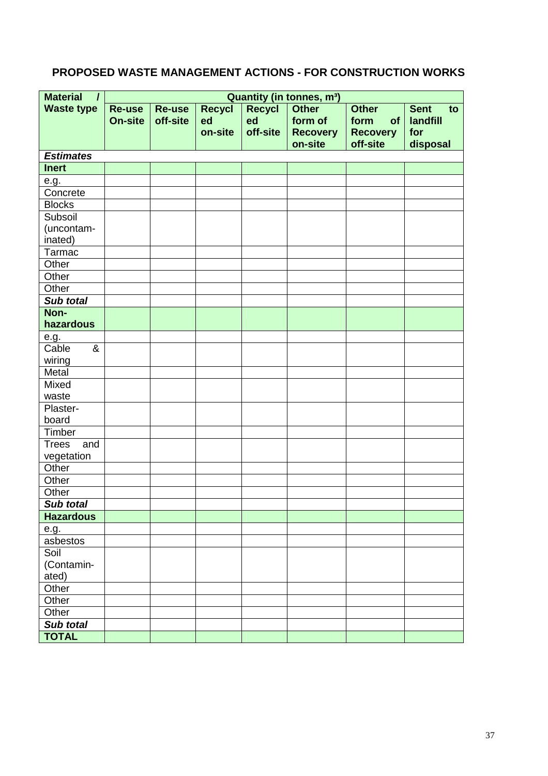### **PROPOSED WASTE MANAGEMENT ACTIONS - FOR CONSTRUCTION WORKS**

| <b>Material</b><br>$\prime$ | <b>Quantity (in tonnes, m<sup>3</sup>)</b> |          |               |          |                 |                 |                   |
|-----------------------------|--------------------------------------------|----------|---------------|----------|-----------------|-----------------|-------------------|
| <b>Waste type</b>           | Re-use                                     | Re-use   | <b>Recycl</b> | Recycl   | <b>Other</b>    | <b>Other</b>    | <b>Sent</b><br>to |
|                             | <b>On-site</b>                             | off-site | ed            | ed       | form of         | of<br>form      | landfill          |
|                             |                                            |          | on-site       | off-site | <b>Recovery</b> | <b>Recovery</b> | for               |
|                             |                                            |          |               |          | on-site         | off-site        | disposal          |
| <b>Estimates</b>            |                                            |          |               |          |                 |                 |                   |
| <b>Inert</b>                |                                            |          |               |          |                 |                 |                   |
| e.g.                        |                                            |          |               |          |                 |                 |                   |
| Concrete                    |                                            |          |               |          |                 |                 |                   |
| <b>Blocks</b>               |                                            |          |               |          |                 |                 |                   |
| Subsoil                     |                                            |          |               |          |                 |                 |                   |
| (uncontam-                  |                                            |          |               |          |                 |                 |                   |
| inated)                     |                                            |          |               |          |                 |                 |                   |
| Tarmac                      |                                            |          |               |          |                 |                 |                   |
| Other                       |                                            |          |               |          |                 |                 |                   |
| Other                       |                                            |          |               |          |                 |                 |                   |
| Other                       |                                            |          |               |          |                 |                 |                   |
| Sub total                   |                                            |          |               |          |                 |                 |                   |
| Non-                        |                                            |          |               |          |                 |                 |                   |
| hazardous                   |                                            |          |               |          |                 |                 |                   |
| e.g.                        |                                            |          |               |          |                 |                 |                   |
| Cable<br>&                  |                                            |          |               |          |                 |                 |                   |
| wiring                      |                                            |          |               |          |                 |                 |                   |
| Metal                       |                                            |          |               |          |                 |                 |                   |
| Mixed                       |                                            |          |               |          |                 |                 |                   |
| waste                       |                                            |          |               |          |                 |                 |                   |
| Plaster-                    |                                            |          |               |          |                 |                 |                   |
| board                       |                                            |          |               |          |                 |                 |                   |
| Timber                      |                                            |          |               |          |                 |                 |                   |
| <b>Trees</b><br>and         |                                            |          |               |          |                 |                 |                   |
| vegetation                  |                                            |          |               |          |                 |                 |                   |
| Other                       |                                            |          |               |          |                 |                 |                   |
| Other                       |                                            |          |               |          |                 |                 |                   |
| Other                       |                                            |          |               |          |                 |                 |                   |
| Sub total                   |                                            |          |               |          |                 |                 |                   |
| <b>Hazardous</b>            |                                            |          |               |          |                 |                 |                   |
| e.g.                        |                                            |          |               |          |                 |                 |                   |
| asbestos                    |                                            |          |               |          |                 |                 |                   |
| Soil                        |                                            |          |               |          |                 |                 |                   |
| (Contamin-                  |                                            |          |               |          |                 |                 |                   |
| ated)                       |                                            |          |               |          |                 |                 |                   |
| Other                       |                                            |          |               |          |                 |                 |                   |
| Other                       |                                            |          |               |          |                 |                 |                   |
| Other                       |                                            |          |               |          |                 |                 |                   |
| Sub total                   |                                            |          |               |          |                 |                 |                   |
| <b>TOTAL</b>                |                                            |          |               |          |                 |                 |                   |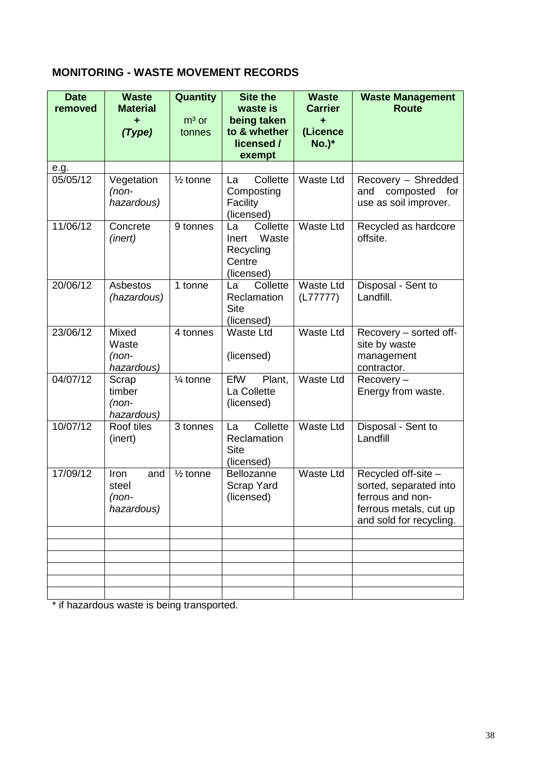### **MONITORING - WASTE MOVEMENT RECORDS**

| <b>Date</b><br>removed | <b>Waste</b><br><b>Material</b><br>٠<br>(Type) | Quantity<br>$m3$ or<br>tonnes | <b>Site the</b><br>waste is<br>being taken<br>to & whether<br>licensed / | <b>Waste</b><br><b>Carrier</b><br>٠<br>(Licence<br><b>No.)*</b> | <b>Waste Management</b><br><b>Route</b>                                                                                |
|------------------------|------------------------------------------------|-------------------------------|--------------------------------------------------------------------------|-----------------------------------------------------------------|------------------------------------------------------------------------------------------------------------------------|
|                        |                                                |                               | exempt                                                                   |                                                                 |                                                                                                                        |
| e.g.<br>05/05/12       | Vegetation<br>$(non-$<br>hazardous)            | $\frac{1}{2}$ tonne           | Collette<br>La<br>Composting<br>Facility<br>(licensed)                   | <b>Waste Ltd</b>                                                | Recovery - Shredded<br>composted<br>and<br>for<br>use as soil improver.                                                |
| 11/06/12               | Concrete<br>(inert)                            | 9 tonnes                      | Collette<br>La<br>Waste<br>Inert<br>Recycling<br>Centre<br>(licensed)    | <b>Waste Ltd</b>                                                | Recycled as hardcore<br>offsite.                                                                                       |
| 20/06/12               | Asbestos<br>(hazardous)                        | 1 tonne                       | Collette<br>La<br>Reclamation<br><b>Site</b><br>(licensed)               | <b>Waste Ltd</b><br>(L77777)                                    | Disposal - Sent to<br>Landfill.                                                                                        |
| 23/06/12               | Mixed<br>Waste<br>(non-<br>hazardous)          | 4 tonnes                      | <b>Waste Ltd</b><br>(licensed)                                           | <b>Waste Ltd</b>                                                | Recovery - sorted off-<br>site by waste<br>management<br>contractor.                                                   |
| 04/07/12               | Scrap<br>timber<br>(non-<br>hazardous)         | 1⁄4 tonne                     | EfW<br>Plant,<br>La Collette<br>(licensed)                               | <b>Waste Ltd</b>                                                | Recovery-<br>Energy from waste.                                                                                        |
| 10/07/12               | Roof tiles<br>(inert)                          | 3 tonnes                      | Collette<br>La<br>Reclamation<br><b>Site</b><br>(licensed)               | <b>Waste Ltd</b>                                                | Disposal - Sent to<br>Landfill                                                                                         |
| 17/09/12               | Iron<br>and<br>steel<br>(non-<br>hazardous)    | $\frac{1}{2}$ tonne           | Bellozanne<br>Scrap Yard<br>(licensed)                                   | <b>Waste Ltd</b>                                                | Recycled off-site -<br>sorted, separated into<br>ferrous and non-<br>ferrous metals, cut up<br>and sold for recycling. |
|                        |                                                |                               |                                                                          |                                                                 |                                                                                                                        |
|                        |                                                |                               |                                                                          |                                                                 |                                                                                                                        |
|                        |                                                |                               |                                                                          |                                                                 |                                                                                                                        |
|                        |                                                |                               |                                                                          |                                                                 |                                                                                                                        |
|                        |                                                |                               |                                                                          |                                                                 |                                                                                                                        |

\* if hazardous waste is being transported.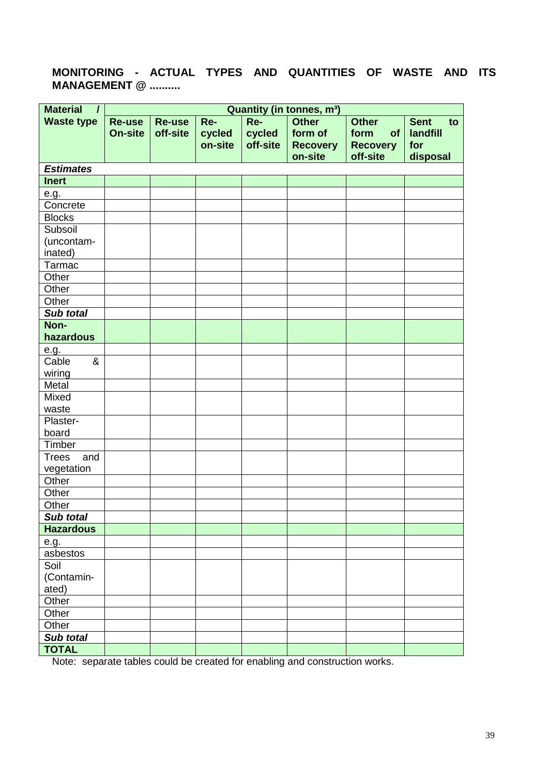#### **MONITORING - ACTUAL TYPES AND QUANTITIES OF WASTE AND ITS MANAGEMENT @ ..........**

| <b>Material</b><br>$\prime$ | <b>Quantity (in tonnes, m<sup>3</sup>)</b> |               |         |          |                 |                 |                   |
|-----------------------------|--------------------------------------------|---------------|---------|----------|-----------------|-----------------|-------------------|
| <b>Waste type</b>           | <b>Re-use</b>                              | <b>Re-use</b> | Re-     | Re-      | Other           | <b>Other</b>    | <b>Sent</b><br>to |
|                             | <b>On-site</b>                             | off-site      | cycled  | cycled   | form of         | form<br>of      | landfill          |
|                             |                                            |               | on-site | off-site | <b>Recovery</b> | <b>Recovery</b> | for               |
|                             |                                            |               |         |          | on-site         | off-site        | disposal          |
| <b>Estimates</b>            |                                            |               |         |          |                 |                 |                   |
| <b>Inert</b>                |                                            |               |         |          |                 |                 |                   |
| e.g.                        |                                            |               |         |          |                 |                 |                   |
| Concrete                    |                                            |               |         |          |                 |                 |                   |
| <b>Blocks</b>               |                                            |               |         |          |                 |                 |                   |
| Subsoil                     |                                            |               |         |          |                 |                 |                   |
| (uncontam-<br>inated)       |                                            |               |         |          |                 |                 |                   |
| Tarmac                      |                                            |               |         |          |                 |                 |                   |
| Other                       |                                            |               |         |          |                 |                 |                   |
| Other                       |                                            |               |         |          |                 |                 |                   |
| Other                       |                                            |               |         |          |                 |                 |                   |
| Sub total                   |                                            |               |         |          |                 |                 |                   |
| Non-                        |                                            |               |         |          |                 |                 |                   |
| hazardous                   |                                            |               |         |          |                 |                 |                   |
| e.g.                        |                                            |               |         |          |                 |                 |                   |
| Cable<br>&                  |                                            |               |         |          |                 |                 |                   |
| wiring                      |                                            |               |         |          |                 |                 |                   |
| Metal                       |                                            |               |         |          |                 |                 |                   |
| Mixed                       |                                            |               |         |          |                 |                 |                   |
| waste                       |                                            |               |         |          |                 |                 |                   |
| Plaster-                    |                                            |               |         |          |                 |                 |                   |
| board                       |                                            |               |         |          |                 |                 |                   |
| Timber                      |                                            |               |         |          |                 |                 |                   |
| <b>Trees</b><br>and         |                                            |               |         |          |                 |                 |                   |
| vegetation                  |                                            |               |         |          |                 |                 |                   |
| Other                       |                                            |               |         |          |                 |                 |                   |
| Other                       |                                            |               |         |          |                 |                 |                   |
| Other                       |                                            |               |         |          |                 |                 |                   |
| Sub total                   |                                            |               |         |          |                 |                 |                   |
| <b>Hazardous</b>            |                                            |               |         |          |                 |                 |                   |
| e.g.                        |                                            |               |         |          |                 |                 |                   |
| asbestos                    |                                            |               |         |          |                 |                 |                   |
| Soil                        |                                            |               |         |          |                 |                 |                   |
| (Contamin-<br>ated)         |                                            |               |         |          |                 |                 |                   |
| Other                       |                                            |               |         |          |                 |                 |                   |
| Other                       |                                            |               |         |          |                 |                 |                   |
| Other                       |                                            |               |         |          |                 |                 |                   |
| Sub total                   |                                            |               |         |          |                 |                 |                   |
| <b>TOTAL</b>                |                                            |               |         |          |                 |                 |                   |

Note: separate tables could be created for enabling and construction works.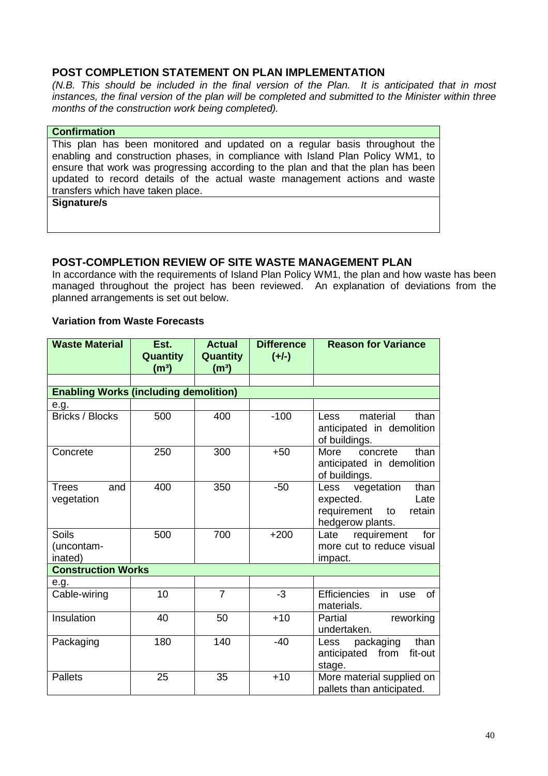#### **POST COMPLETION STATEMENT ON PLAN IMPLEMENTATION**

(N.B. This should be included in the final version of the Plan. It is anticipated that in most instances, the final version of the plan will be completed and submitted to the Minister within three months of the construction work being completed).

| <b>Confirmation</b>                                                               |
|-----------------------------------------------------------------------------------|
| This plan has been monitored and updated on a regular basis throughout the        |
| enabling and construction phases, in compliance with Island Plan Policy WM1, to   |
| ensure that work was progressing according to the plan and that the plan has been |
| updated to record details of the actual waste management actions and waste        |
| transfers which have taken place.                                                 |
| Signature/s                                                                       |
|                                                                                   |

#### **POST-COMPLETION REVIEW OF SITE WASTE MANAGEMENT PLAN**

In accordance with the requirements of Island Plan Policy WM1, the plan and how waste has been managed throughout the project has been reviewed. An explanation of deviations from the planned arrangements is set out below.

#### **Variation from Waste Forecasts**

| <b>Waste Material</b>                        | Est.<br>Quantity<br>(m <sup>3</sup> ) | <b>Actual</b><br><b>Quantity</b><br>(m <sup>3</sup> ) | <b>Difference</b><br>$(+/-)$ | <b>Reason for Variance</b>                                                                         |  |  |
|----------------------------------------------|---------------------------------------|-------------------------------------------------------|------------------------------|----------------------------------------------------------------------------------------------------|--|--|
|                                              |                                       |                                                       |                              |                                                                                                    |  |  |
| <b>Enabling Works (including demolition)</b> |                                       |                                                       |                              |                                                                                                    |  |  |
| e.g.                                         |                                       |                                                       |                              |                                                                                                    |  |  |
| <b>Bricks / Blocks</b>                       | 500                                   | 400                                                   | $-100$                       | material<br>than<br>Less<br>anticipated in demolition<br>of buildings.                             |  |  |
| Concrete                                     | 250                                   | 300                                                   | $+50$                        | concrete<br>than<br>More<br>anticipated in demolition<br>of buildings.                             |  |  |
| Trees<br>and<br>vegetation                   | 400                                   | 350                                                   | $-50$                        | vegetation<br>Less<br>than<br>Late<br>expected.<br>requirement<br>to<br>retain<br>hedgerow plants. |  |  |
| <b>Soils</b><br>(uncontam-<br>inated)        | 500                                   | 700                                                   | $+200$                       | requirement<br>for<br>Late<br>more cut to reduce visual<br>impact.                                 |  |  |
| <b>Construction Works</b>                    |                                       |                                                       |                              |                                                                                                    |  |  |
| e.g.                                         |                                       |                                                       |                              |                                                                                                    |  |  |
| Cable-wiring                                 | 10                                    | $\overline{7}$                                        | $-3$                         | <b>Efficiencies</b><br>in<br><b>of</b><br>use<br>materials.                                        |  |  |
| Insulation                                   | 40                                    | 50                                                    | $+10$                        | Partial<br>reworking<br>undertaken.                                                                |  |  |
| Packaging                                    | 180                                   | 140                                                   | $-40$                        | packaging<br>than<br>Less<br>from<br>fit-out<br>anticipated<br>stage.                              |  |  |
| <b>Pallets</b>                               | 25                                    | 35                                                    | $+10$                        | More material supplied on<br>pallets than anticipated.                                             |  |  |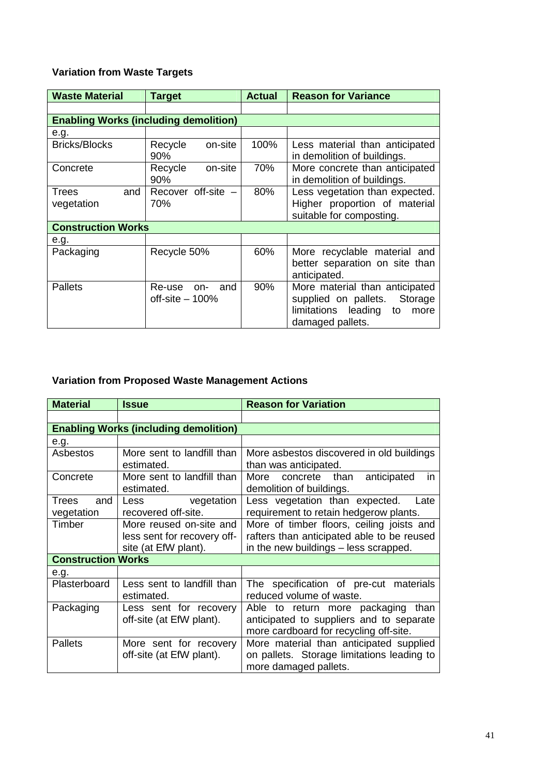### **Variation from Waste Targets**

| <b>Waste Material</b>                        | <b>Target</b>                         | <b>Actual</b> | <b>Reason for Variance</b>                                                                                           |  |  |
|----------------------------------------------|---------------------------------------|---------------|----------------------------------------------------------------------------------------------------------------------|--|--|
|                                              |                                       |               |                                                                                                                      |  |  |
| <b>Enabling Works (including demolition)</b> |                                       |               |                                                                                                                      |  |  |
| e.g.                                         |                                       |               |                                                                                                                      |  |  |
| <b>Bricks/Blocks</b>                         | on-site<br>Recycle<br>90%             | 100%          | Less material than anticipated<br>in demolition of buildings.                                                        |  |  |
| Concrete                                     | on-site<br>Recycle<br>90%             | 70%           | More concrete than anticipated<br>in demolition of buildings.                                                        |  |  |
| Trees<br>and<br>vegetation                   | Recover off-site $-$<br>70%           | 80%           | Less vegetation than expected.<br>Higher proportion of material<br>suitable for composting.                          |  |  |
| <b>Construction Works</b>                    |                                       |               |                                                                                                                      |  |  |
| e.g.                                         |                                       |               |                                                                                                                      |  |  |
| Packaging                                    | Recycle 50%                           | 60%           | More recyclable material and<br>better separation on site than<br>anticipated.                                       |  |  |
| <b>Pallets</b>                               | Re-use on-<br>and<br>off-site $-100%$ | 90%           | More material than anticipated<br>supplied on pallets. Storage<br>limitations leading to<br>more<br>damaged pallets. |  |  |

### **Variation from Proposed Waste Management Actions**

| <b>Material</b>                              | <b>Issue</b>                                                                   | <b>Reason for Variation</b>                                                                                                      |  |  |
|----------------------------------------------|--------------------------------------------------------------------------------|----------------------------------------------------------------------------------------------------------------------------------|--|--|
|                                              |                                                                                |                                                                                                                                  |  |  |
| <b>Enabling Works (including demolition)</b> |                                                                                |                                                                                                                                  |  |  |
| e.g.                                         |                                                                                |                                                                                                                                  |  |  |
| Asbestos                                     | More sent to landfill than<br>estimated.                                       | More asbestos discovered in old buildings<br>than was anticipated.                                                               |  |  |
| Concrete                                     | More sent to landfill than<br>estimated.                                       | More concrete than anticipated<br><i>in</i><br>demolition of buildings.                                                          |  |  |
| and<br>Trees<br>vegetation                   | Less vegetation<br>recovered off-site.                                         | Less vegetation than expected.<br>Late<br>requirement to retain hedgerow plants.                                                 |  |  |
| Timber                                       | More reused on-site and<br>less sent for recovery off-<br>site (at EfW plant). | More of timber floors, ceiling joists and<br>rafters than anticipated able to be reused<br>in the new buildings - less scrapped. |  |  |
| <b>Construction Works</b>                    |                                                                                |                                                                                                                                  |  |  |
| e.g.                                         |                                                                                |                                                                                                                                  |  |  |
| Plasterboard                                 | Less sent to landfill than<br>estimated.                                       | The specification of pre-cut materials<br>reduced volume of waste.                                                               |  |  |
| Packaging                                    | Less sent for recovery<br>off-site (at EfW plant).                             | Able to return more packaging<br>than<br>anticipated to suppliers and to separate<br>more cardboard for recycling off-site.      |  |  |
| <b>Pallets</b>                               | More sent for recovery<br>off-site (at EfW plant).                             | More material than anticipated supplied<br>on pallets. Storage limitations leading to<br>more damaged pallets.                   |  |  |